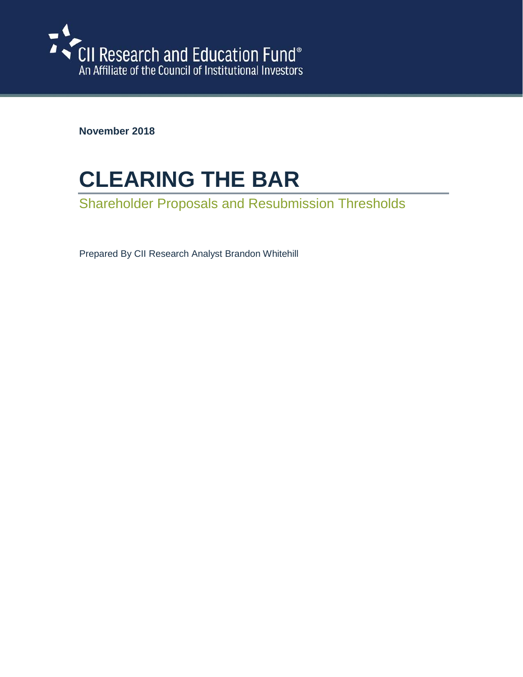

**November 2018**

# **CLEARING THE BAR**

Shareholder Proposals and Resubmission Thresholds

Prepared By CII Research Analyst Brandon Whitehill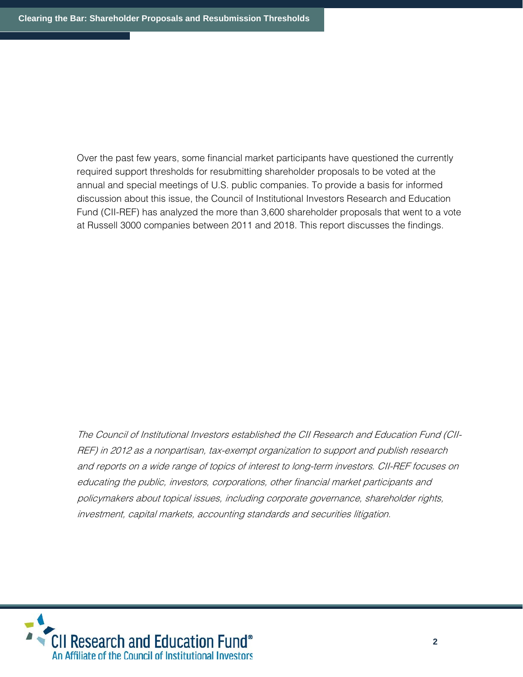Over the past few years, some financial market participants have questioned the currently required support thresholds for resubmitting shareholder proposals to be voted at the annual and special meetings of U.S. public companies. To provide a basis for informed discussion about this issue, the Council of Institutional Investors Research and Education Fund (CII-REF) has analyzed the more than 3,600 shareholder proposals that went to a vote at Russell 3000 companies between 2011 and 2018. This report discusses the findings.

The Council of Institutional Investors established the CII Research and Education Fund (CII-REF) in 2012 as <sup>a</sup> nonpartisan, tax-exempt organization to support and publish research and reports on <sup>a</sup> wide range of topics of interest to long-term investors. CII-REF focuses on educating the public, investors, corporations, other financial market participants and policymakers about topical issues, including corporate governance, shareholder rights, investment, capital markets, accounting standards and securities litigation.

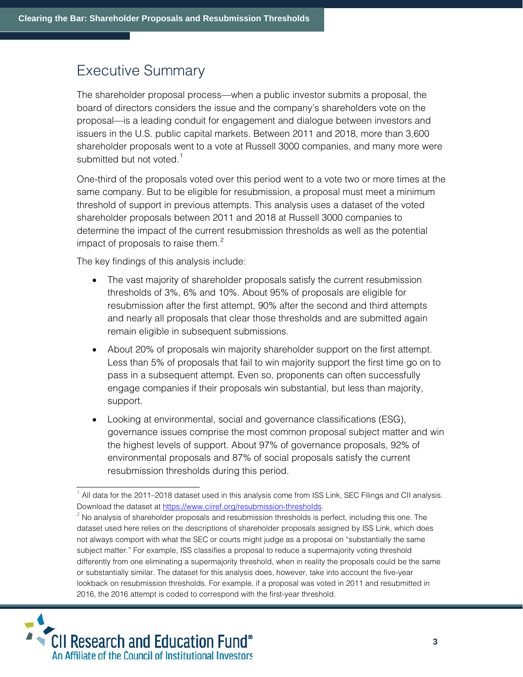### Executive Summary

The shareholder proposal process—when a public investor submits a proposal, the board of directors considers the issue and the company's shareholders vote on the proposal—is a leading conduit for engagement and dialogue between investors and issuers in the U.S. public capital markets. Between 2011 and 2018, more than 3,600 shareholder proposals went to a vote at Russell 3000 companies, and many more were submitted but not voted.<sup>[1](#page-2-0)</sup>

One-third of the proposals voted over this period went to a vote two or more times at the same company. But to be eligible for resubmission, a proposal must meet a minimum threshold of support in previous attempts. This analysis uses a dataset of the voted shareholder proposals between 2011 and 2018 at Russell 3000 companies to determine the impact of the current resubmission thresholds as well as the potential impact of proposals to raise them. $<sup>2</sup>$  $<sup>2</sup>$  $<sup>2</sup>$ </sup>

The key findings of this analysis include:

- The vast majority of shareholder proposals satisfy the current resubmission thresholds of 3%, 6% and 10%. About 95% of proposals are eligible for resubmission after the first attempt, 90% after the second and third attempts and nearly all proposals that clear those thresholds and are submitted again remain eligible in subsequent submissions.
- About 20% of proposals win majority shareholder support on the first attempt. Less than 5% of proposals that fail to win majority support the first time go on to pass in a subsequent attempt. Even so, proponents can often successfully engage companies if their proposals win substantial, but less than majority, support.
- Looking at environmental, social and governance classifications (ESG), governance issues comprise the most common proposal subject matter and win the highest levels of support. About 97% of governance proposals, 92% of environmental proposals and 87% of social proposals satisfy the current resubmission thresholds during this period.

<span id="page-2-1"></span><span id="page-2-0"></span> $<sup>2</sup>$  No analysis of shareholder proposals and resubmission thresholds is perfect, including this one. The</sup> dataset used here relies on the descriptions of shareholder proposals assigned by ISS Link, which does not always comport with what the SEC or courts might judge as a proposal on "substantially the same subject matter." For example, ISS classifies a proposal to reduce a supermajority voting threshold differently from one eliminating a supermajority threshold, when in reality the proposals could be the same or substantially similar. The dataset for this analysis does, however, take into account the five-year lookback on resubmission thresholds. For example, if a proposal was voted in 2011 and resubmitted in 2016, the 2016 attempt is coded to correspond with the first-year threshold.



 $1$  All data for the 2011–2018 dataset used in this analysis come from ISS Link, SEC Filings and CII analysis. Download the dataset a[t https://www.ciiref.org/resubmission-thresholds.](https://www.ciiref.org/resubmission-thresholds)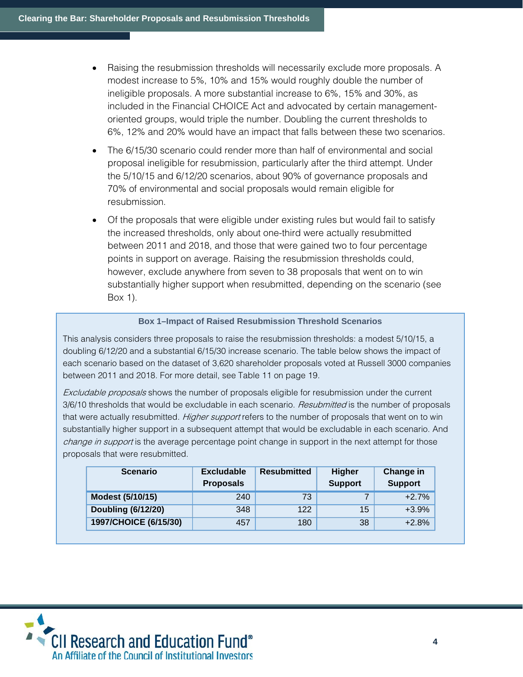- Raising the resubmission thresholds will necessarily exclude more proposals. A modest increase to 5%, 10% and 15% would roughly double the number of ineligible proposals. A more substantial increase to 6%, 15% and 30%, as included in the Financial CHOICE Act and advocated by certain managementoriented groups, would triple the number. Doubling the current thresholds to 6%, 12% and 20% would have an impact that falls between these two scenarios.
- The 6/15/30 scenario could render more than half of environmental and social proposal ineligible for resubmission, particularly after the third attempt. Under the 5/10/15 and 6/12/20 scenarios, about 90% of governance proposals and 70% of environmental and social proposals would remain eligible for resubmission.
- Of the proposals that were eligible under existing rules but would fail to satisfy the increased thresholds, only about one-third were actually resubmitted between 2011 and 2018, and those that were gained two to four percentage points in support on average. Raising the resubmission thresholds could, however, exclude anywhere from seven to 38 proposals that went on to win substantially higher support when resubmitted, depending on the scenario (see Box 1).

#### **Box 1–Impact of Raised Resubmission Threshold Scenarios**

This analysis considers three proposals to raise the resubmission thresholds: a modest 5/10/15, a doubling 6/12/20 and a substantial 6/15/30 increase scenario. The table below shows the impact of each scenario based on the dataset of 3,620 shareholder proposals voted at Russell 3000 companies between 2011 and 2018. For more detail, see Table 11 on page 19.

Excludable proposals shows the number of proposals eligible for resubmission under the current 3/6/10 thresholds that would be excludable in each scenario. Resubmitted is the number of proposals that were actually resubmitted. *Higher support* refers to the number of proposals that went on to win substantially higher support in a subsequent attempt that would be excludable in each scenario. And change in support is the average percentage point change in support in the next attempt for those proposals that were resubmitted.

| <b>Scenario</b>           | <b>Excludable</b><br><b>Proposals</b> | <b>Resubmitted</b> | <b>Higher</b><br><b>Support</b> | Change in<br><b>Support</b> |
|---------------------------|---------------------------------------|--------------------|---------------------------------|-----------------------------|
| Modest (5/10/15)          | 240                                   | 73                 |                                 | $+2.7%$                     |
| <b>Doubling (6/12/20)</b> | 348                                   | 122                | 15                              | $+3.9%$                     |
| 1997/CHOICE (6/15/30)     | 457                                   | 180                | 38                              | $+2.8%$                     |

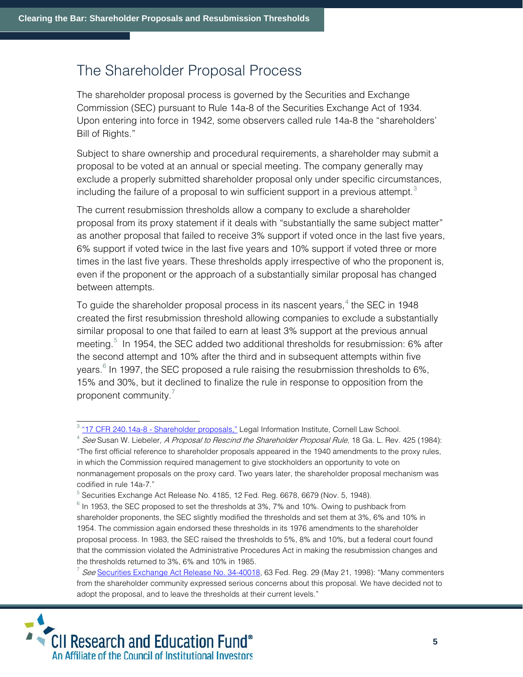### The Shareholder Proposal Process

The shareholder proposal process is governed by the Securities and Exchange Commission (SEC) pursuant to Rule 14a-8 of the Securities Exchange Act of 1934. Upon entering into force in 1942, some observers called rule 14a-8 the "shareholders' Bill of Rights."

Subject to share ownership and procedural requirements, a shareholder may submit a proposal to be voted at an annual or special meeting. The company generally may exclude a properly submitted shareholder proposal only under specific circumstances, including the failure of a proposal to win sufficient support in a previous attempt. $3$ 

The current resubmission thresholds allow a company to exclude a shareholder proposal from its proxy statement if it deals with "substantially the same subject matter" as another proposal that failed to receive 3% support if voted once in the last five years, 6% support if voted twice in the last five years and 10% support if voted three or more times in the last five years. These thresholds apply irrespective of who the proponent is, even if the proponent or the approach of a substantially similar proposal has changed between attempts.

To guide the shareholder proposal process in its nascent years, $4$  the SEC in 1948 created the first resubmission threshold allowing companies to exclude a substantially similar proposal to one that failed to earn at least 3% support at the previous annual meeting.<sup>[5](#page-4-2)</sup> In 1954, the SEC added two additional thresholds for resubmission: 6% after the second attempt and 10% after the third and in subsequent attempts within five years. $6$  In 1997, the SEC proposed a rule raising the resubmission thresholds to 6%, 15% and 30%, but it declined to finalize the rule in response to opposition from the proponent community. $<sup>7</sup>$  $<sup>7</sup>$  $<sup>7</sup>$ </sup>

<span id="page-4-4"></span><span id="page-4-3"></span> $^7$  See [Securities Exchange Act Release No. 34-40018,](https://www.sec.gov/rules/final/34-40018.htm) 63 Fed. Reg. 29 (May 21, 1998): "Many commenters from the shareholder community expressed serious concerns about this proposal. We have decided not to adopt the proposal, and to leave the thresholds at their current levels."



<span id="page-4-0"></span><sup>&</sup>lt;sup>3</sup> "17 CFR 240.14a-8 - [Shareholder proposals,"](https://www.law.cornell.edu/cfr/text/17/240.14a-8) Legal Information Institute, Cornell Law School.

<span id="page-4-1"></span><sup>&</sup>lt;sup>4</sup> See Susan W. Liebeler, A Proposal to Rescind the Shareholder Proposal Rule, 18 Ga. L. Rev. 425 (1984): "The first official reference to shareholder proposals appeared in the 1940 amendments to the proxy rules, in which the Commission required management to give stockholders an opportunity to vote on nonmanagement proposals on the proxy card. Two years later, the shareholder proposal mechanism was codified in rule 14a-7."

<span id="page-4-2"></span><sup>&</sup>lt;sup>5</sup> Securities Exchange Act Release No. 4185, 12 Fed. Reg. 6678, 6679 (Nov. 5, 1948).

 $6$  In 1953, the SEC proposed to set the thresholds at 3%, 7% and 10%. Owing to pushback from shareholder proponents, the SEC slightly modified the thresholds and set them at 3%, 6% and 10% in 1954. The commission again endorsed these thresholds in its 1976 amendments to the shareholder proposal process. In 1983, the SEC raised the thresholds to 5%, 8% and 10%, but a federal court found that the commission violated the Administrative Procedures Act in making the resubmission changes and the thresholds returned to 3%, 6% and 10% in 1985.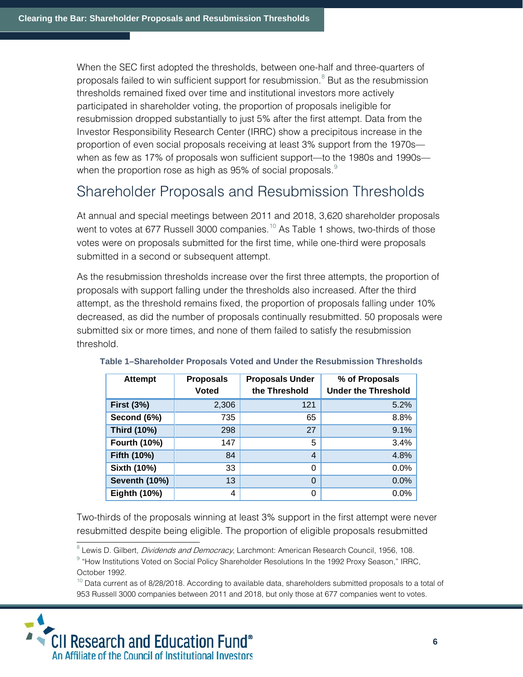When the SEC first adopted the thresholds, between one-half and three-quarters of proposals failed to win sufficient support for resubmission. $8$  But as the resubmission thresholds remained fixed over time and institutional investors more actively participated in shareholder voting, the proportion of proposals ineligible for resubmission dropped substantially to just 5% after the first attempt. Data from the Investor Responsibility Research Center (IRRC) show a precipitous increase in the proportion of even social proposals receiving at least 3% support from the 1970s when as few as 17% of proposals won sufficient support—to the 1980s and 1990s— when the proportion rose as high as [9](#page-5-1)5% of social proposals. $9$ 

### Shareholder Proposals and Resubmission Thresholds

At annual and special meetings between 2011 and 2018, 3,620 shareholder proposals went to votes at 677 Russell 3000 companies.<sup>[10](#page-5-2)</sup> As Table 1 shows, two-thirds of those votes were on proposals submitted for the first time, while one-third were proposals submitted in a second or subsequent attempt.

As the resubmission thresholds increase over the first three attempts, the proportion of proposals with support falling under the thresholds also increased. After the third attempt, as the threshold remains fixed, the proportion of proposals falling under 10% decreased, as did the number of proposals continually resubmitted. 50 proposals were submitted six or more times, and none of them failed to satisfy the resubmission threshold.

| <b>Attempt</b>       | <b>Proposals</b> | <b>Proposals Under</b> | % of Proposals             |
|----------------------|------------------|------------------------|----------------------------|
|                      | <b>Voted</b>     | the Threshold          | <b>Under the Threshold</b> |
| <b>First (3%)</b>    | 2,306            | 121                    | 5.2%                       |
| Second (6%)          | 735              | 65                     | 8.8%                       |
| Third (10%)          | 298              | 27                     | 9.1%                       |
| <b>Fourth (10%)</b>  | 147              | 5                      | 3.4%                       |
| Fifth (10%)          | 84               | 4                      | 4.8%                       |
| Sixth (10%)          | 33               | 0                      | 0.0%                       |
| <b>Seventh (10%)</b> | 13               | 0                      | 0.0%                       |
| <b>Eighth (10%)</b>  | 4                | 0                      | 0.0%                       |

#### **Table 1–Shareholder Proposals Voted and Under the Resubmission Thresholds**

Two-thirds of the proposals winning at least 3% support in the first attempt were never resubmitted despite being eligible. The proportion of eligible proposals resubmitted

<span id="page-5-2"></span><span id="page-5-1"></span><span id="page-5-0"></span> $10$  Data current as of 8/28/2018. According to available data, shareholders submitted proposals to a total of 953 Russell 3000 companies between 2011 and 2018, but only those at 677 companies went to votes.



<sup>&</sup>lt;sup>8</sup> Lewis D. Gilbert, *Dividends and Democracy*, Larchmont: American Research Council, 1956, 108.<br><sup>9</sup> "How Institutions Voted on Social Policy Shareholder Resolutions In the 1992 Proxy Season," IRRC,

October 1992.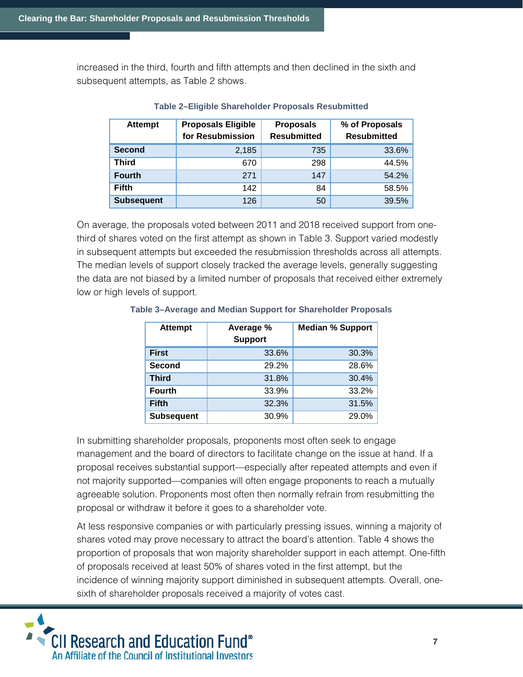increased in the third, fourth and fifth attempts and then declined in the sixth and subsequent attempts, as Table 2 shows.

| <b>Attempt</b>    | <b>Proposals Eligible</b> | <b>Proposals</b>   | % of Proposals     |
|-------------------|---------------------------|--------------------|--------------------|
|                   | for Resubmission          | <b>Resubmitted</b> | <b>Resubmitted</b> |
| <b>Second</b>     | 2.185                     | 735                | 33.6%              |
| <b>Third</b>      | 670                       | 298                | 44.5%              |
| <b>Fourth</b>     | 271                       | 147                | 54.2%              |
| <b>Fifth</b>      | 142                       | 84                 | 58.5%              |
| <b>Subsequent</b> | 126                       | 50                 | 39.5%              |

#### **Table 2–Eligible Shareholder Proposals Resubmitted**

On average, the proposals voted between 2011 and 2018 received support from onethird of shares voted on the first attempt as shown in Table 3. Support varied modestly in subsequent attempts but exceeded the resubmission thresholds across all attempts. The median levels of support closely tracked the average levels, generally suggesting the data are not biased by a limited number of proposals that received either extremely low or high levels of support.

| <b>Attempt</b>    | Average %<br><b>Support</b> | <b>Median % Support</b> |
|-------------------|-----------------------------|-------------------------|
| <b>First</b>      | 33.6%                       | 30.3%                   |
| <b>Second</b>     | 29.2%                       | 28.6%                   |
| <b>Third</b>      | 31.8%                       | 30.4%                   |
| <b>Fourth</b>     | 33.9%                       | 33.2%                   |
| <b>Fifth</b>      | 32.3%                       | 31.5%                   |
| <b>Subsequent</b> | 30.9%                       | 29.0%                   |

#### **Table 3–Average and Median Support for Shareholder Proposals**

In submitting shareholder proposals, proponents most often seek to engage management and the board of directors to facilitate change on the issue at hand. If a proposal receives substantial support—especially after repeated attempts and even if not majority supported—companies will often engage proponents to reach a mutually agreeable solution. Proponents most often then normally refrain from resubmitting the proposal or withdraw it before it goes to a shareholder vote.

At less responsive companies or with particularly pressing issues, winning a majority of shares voted may prove necessary to attract the board's attention. Table 4 shows the proportion of proposals that won majority shareholder support in each attempt. One-fifth of proposals received at least 50% of shares voted in the first attempt, but the incidence of winning majority support diminished in subsequent attempts. Overall, onesixth of shareholder proposals received a majority of votes cast.

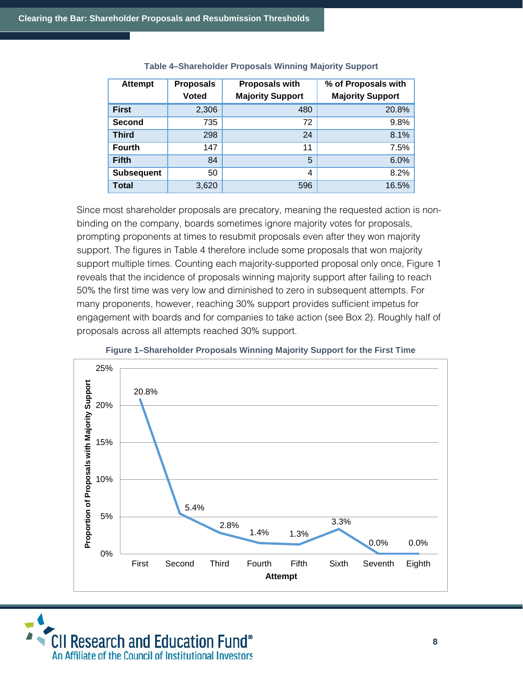| <b>Attempt</b>    | <b>Proposals</b><br><b>Voted</b> | <b>Proposals with</b><br><b>Majority Support</b> | % of Proposals with<br><b>Majority Support</b> |
|-------------------|----------------------------------|--------------------------------------------------|------------------------------------------------|
| <b>First</b>      | 2,306                            | 480                                              | 20.8%                                          |
| <b>Second</b>     | 735                              | 72                                               | 9.8%                                           |
| <b>Third</b>      | 298                              | 24                                               | 8.1%                                           |
| <b>Fourth</b>     | 147                              | 11                                               | 7.5%                                           |
| <b>Fifth</b>      | 84                               | 5                                                | 6.0%                                           |
| <b>Subsequent</b> | 50                               | 4                                                | 8.2%                                           |
| <b>Total</b>      | 3,620                            | 596                                              | 16.5%                                          |

#### **Table 4–Shareholder Proposals Winning Majority Support**

Since most shareholder proposals are precatory, meaning the requested action is nonbinding on the company, boards sometimes ignore majority votes for proposals, prompting proponents at times to resubmit proposals even after they won majority support. The figures in Table 4 therefore include some proposals that won majority support multiple times. Counting each majority-supported proposal only once, Figure 1 reveals that the incidence of proposals winning majority support after failing to reach 50% the first time was very low and diminished to zero in subsequent attempts. For many proponents, however, reaching 30% support provides sufficient impetus for engagement with boards and for companies to take action (see Box 2). Roughly half of proposals across all attempts reached 30% support.





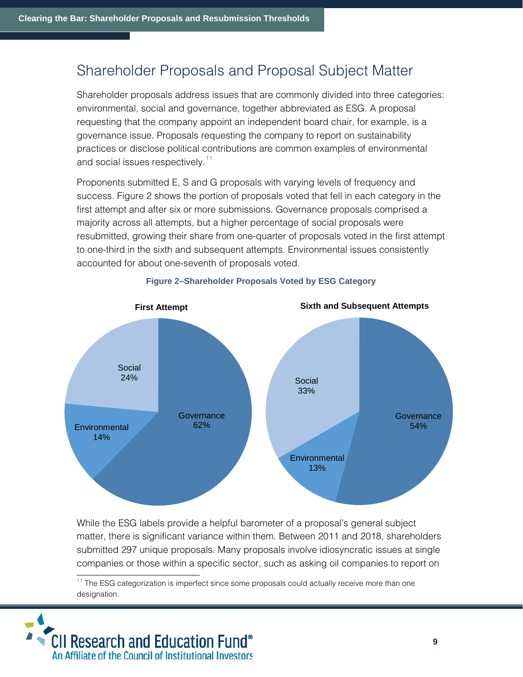### Shareholder Proposals and Proposal Subject Matter

Shareholder proposals address issues that are commonly divided into three categories: environmental, social and governance, together abbreviated as ESG. A proposal requesting that the company appoint an independent board chair, for example, is a governance issue. Proposals requesting the company to report on sustainability practices or disclose political contributions are common examples of environmental and social issues respectively.<sup>[11](#page-8-0)</sup>

Proponents submitted E, S and G proposals with varying levels of frequency and success. Figure 2 shows the portion of proposals voted that fell in each category in the first attempt and after six or more submissions. Governance proposals comprised a majority across all attempts, but a higher percentage of social proposals were resubmitted, growing their share from one-quarter of proposals voted in the first attempt to one-third in the sixth and subsequent attempts. Environmental issues consistently accounted for about one-seventh of proposals voted.



**Figure 2–Shareholder Proposals Voted by ESG Category** 

While the ESG labels provide a helpful barometer of a proposal's general subject matter, there is significant variance within them. Between 2011 and 2018, shareholders submitted 297 unique proposals. Many proposals involve idiosyncratic issues at single companies or those within a specific sector, such as asking oil companies to report on

<span id="page-8-0"></span> $11$  The ESG categorization is imperfect since some proposals could actually receive more than one designation.

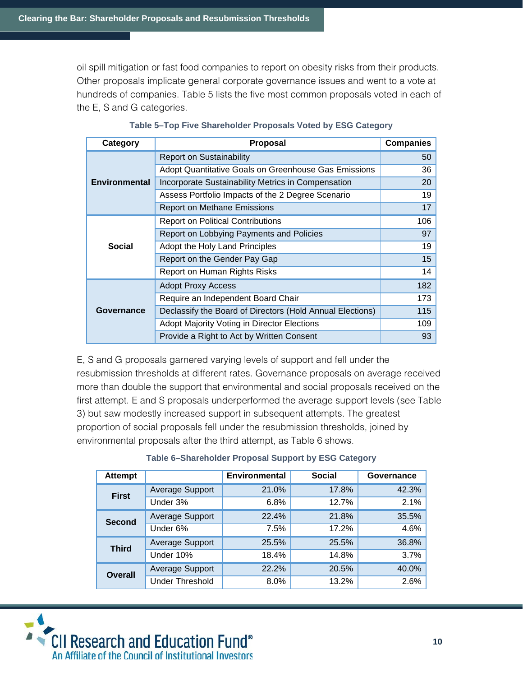oil spill mitigation or fast food companies to report on obesity risks from their products. Other proposals implicate general corporate governance issues and went to a vote at hundreds of companies. Table 5 lists the five most common proposals voted in each of the E, S and G categories.

| Category             | <b>Proposal</b>                                           | <b>Companies</b> |
|----------------------|-----------------------------------------------------------|------------------|
|                      | <b>Report on Sustainability</b>                           | 50               |
|                      | Adopt Quantitative Goals on Greenhouse Gas Emissions      | 36               |
| <b>Environmental</b> | Incorporate Sustainability Metrics in Compensation        | 20               |
|                      | Assess Portfolio Impacts of the 2 Degree Scenario         | 19               |
|                      | <b>Report on Methane Emissions</b>                        | 17               |
|                      | <b>Report on Political Contributions</b>                  | 106              |
|                      | Report on Lobbying Payments and Policies                  | 97               |
| Social               | Adopt the Holy Land Principles                            | 19               |
|                      | Report on the Gender Pay Gap                              | 15               |
|                      | Report on Human Rights Risks                              | 14               |
|                      | <b>Adopt Proxy Access</b>                                 | 182              |
|                      | Require an Independent Board Chair                        | 173              |
| Governance           | Declassify the Board of Directors (Hold Annual Elections) | 115              |
|                      | Adopt Majority Voting in Director Elections               | 109              |
|                      | Provide a Right to Act by Written Consent                 | 93               |

E, S and G proposals garnered varying levels of support and fell under the resubmission thresholds at different rates. Governance proposals on average received more than double the support that environmental and social proposals received on the first attempt. E and S proposals underperformed the average support levels (see Table 3) but saw modestly increased support in subsequent attempts. The greatest proportion of social proposals fell under the resubmission thresholds, joined by environmental proposals after the third attempt, as Table 6 shows.

#### **Table 6–Shareholder Proposal Support by ESG Category**

| <b>Attempt</b> |                        | <b>Environmental</b> | <b>Social</b> | Governance |
|----------------|------------------------|----------------------|---------------|------------|
| <b>First</b>   | <b>Average Support</b> | 21.0%                | 17.8%         | 42.3%      |
|                | Under 3%               | 6.8%                 | 12.7%         | 2.1%       |
| <b>Second</b>  | <b>Average Support</b> | 22.4%                | 21.8%         | 35.5%      |
|                | Under 6%               | 7.5%                 | 17.2%         | 4.6%       |
| <b>Third</b>   | <b>Average Support</b> | 25.5%                | 25.5%         | 36.8%      |
|                | Under 10%              | 18.4%                | 14.8%         | 3.7%       |
| <b>Overall</b> | Average Support        | 22.2%                | 20.5%         | 40.0%      |
|                | <b>Under Threshold</b> | 8.0%                 | 13.2%         | 2.6%       |

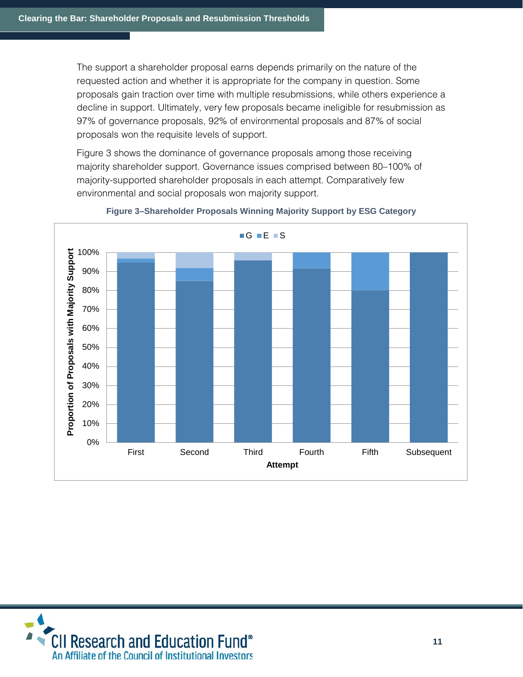The support a shareholder proposal earns depends primarily on the nature of the requested action and whether it is appropriate for the company in question. Some proposals gain traction over time with multiple resubmissions, while others experience a decline in support. Ultimately, very few proposals became ineligible for resubmission as 97% of governance proposals, 92% of environmental proposals and 87% of social proposals won the requisite levels of support.

Figure 3 shows the dominance of governance proposals among those receiving majority shareholder support. Governance issues comprised between 80–100% of majority-supported shareholder proposals in each attempt. Comparatively few environmental and social proposals won majority support.



#### **Figure 3–Shareholder Proposals Winning Majority Support by ESG Category**

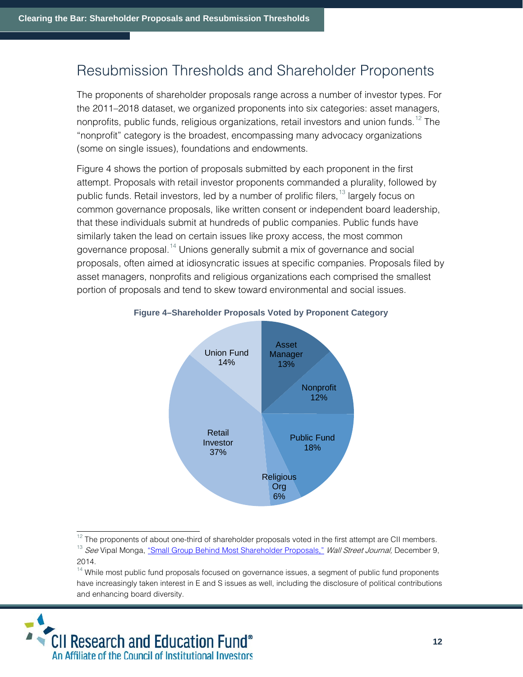### Resubmission Thresholds and Shareholder Proponents

The proponents of shareholder proposals range across a number of investor types. For the 2011–2018 dataset, we organized proponents into six categories: asset managers, nonprofits, public funds, religious organizations, retail investors and union funds.<sup>[12](#page-11-0)</sup> The "nonprofit" category is the broadest, encompassing many advocacy organizations (some on single issues), foundations and endowments.

Figure 4 shows the portion of proposals submitted by each proponent in the first attempt. Proposals with retail investor proponents commanded a plurality, followed by public funds. Retail investors, led by a number of prolific filers,<sup>[13](#page-11-1)</sup> largely focus on common governance proposals, like written consent or independent board leadership, that these individuals submit at hundreds of public companies. Public funds have similarly taken the lead on certain issues like proxy access, the most common governance proposal.<sup>[14](#page-11-2)</sup> Unions generally submit a mix of governance and social proposals, often aimed at idiosyncratic issues at specific companies. Proposals filed by asset managers, nonprofits and religious organizations each comprised the smallest portion of proposals and tend to skew toward environmental and social issues.



#### **Figure 4–Shareholder Proposals Voted by Proponent Category**

<sup>12</sup> The proponents of about one-third of shareholder proposals voted in the first attempt are CII members.<br><sup>13</sup> See Vipal Monga, "Smal<u>l Group Behind Most Shareholder Proposals,"</u> Wall Street Journal, December 9,

<span id="page-11-2"></span><span id="page-11-1"></span><span id="page-11-0"></span> $14$  While most public fund proposals focused on governance issues, a segment of public fund proponents have increasingly taken interest in E and S issues as well, including the disclosure of political contributions and enhancing board diversity.



<sup>2014.</sup>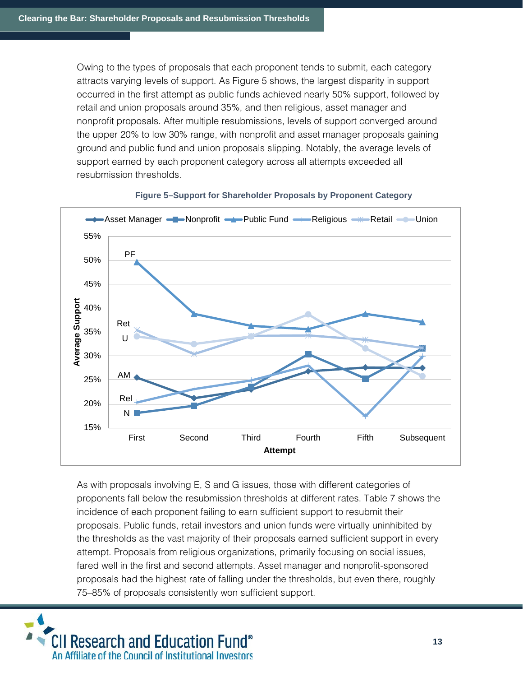Owing to the types of proposals that each proponent tends to submit, each category attracts varying levels of support. As Figure 5 shows, the largest disparity in support occurred in the first attempt as public funds achieved nearly 50% support, followed by retail and union proposals around 35%, and then religious, asset manager and nonprofit proposals. After multiple resubmissions, levels of support converged around the upper 20% to low 30% range, with nonprofit and asset manager proposals gaining ground and public fund and union proposals slipping. Notably, the average levels of support earned by each proponent category across all attempts exceeded all resubmission thresholds.



**Figure 5–Support for Shareholder Proposals by Proponent Category**

As with proposals involving E, S and G issues, those with different categories of proponents fall below the resubmission thresholds at different rates. Table 7 shows the incidence of each proponent failing to earn sufficient support to resubmit their proposals. Public funds, retail investors and union funds were virtually uninhibited by the thresholds as the vast majority of their proposals earned sufficient support in every attempt. Proposals from religious organizations, primarily focusing on social issues, fared well in the first and second attempts. Asset manager and nonprofit-sponsored proposals had the highest rate of falling under the thresholds, but even there, roughly 75–85% of proposals consistently won sufficient support.

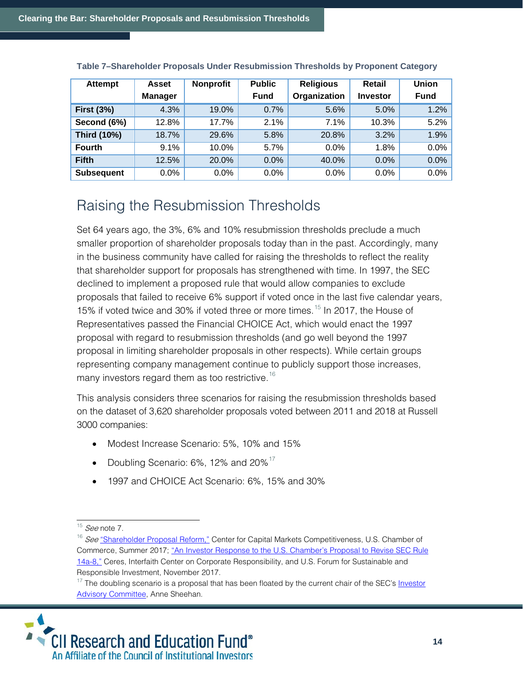| <b>Attempt</b>     | <b>Asset</b>   | <b>Nonprofit</b> | <b>Public</b> | <b>Religious</b> | Retail          | <b>Union</b> |
|--------------------|----------------|------------------|---------------|------------------|-----------------|--------------|
|                    | <b>Manager</b> |                  | <b>Fund</b>   | Organization     | <b>Investor</b> | <b>Fund</b>  |
| <b>First (3%)</b>  | 4.3%           | 19.0%            | 0.7%          | 5.6%             | 5.0%            | 1.2%         |
| Second (6%)        | 12.8%          | 17.7%            | 2.1%          | 7.1%             | 10.3%           | $5.2\%$      |
| <b>Third (10%)</b> | 18.7%          | 29.6%            | 5.8%          | 20.8%            | 3.2%            | 1.9%         |
| <b>Fourth</b>      | 9.1%           | 10.0%            | 5.7%          | 0.0%             | 1.8%            | $0.0\%$      |
| <b>Fifth</b>       | 12.5%          | 20.0%            | 0.0%          | 40.0%            | 0.0%            | 0.0%         |
| <b>Subsequent</b>  | 0.0%           | 0.0%             | 0.0%          | 0.0%             | $0.0\%$         | $0.0\%$      |

**Table 7–Shareholder Proposals Under Resubmission Thresholds by Proponent Category**

## Raising the Resubmission Thresholds

Set 64 years ago, the 3%, 6% and 10% resubmission thresholds preclude a much smaller proportion of shareholder proposals today than in the past. Accordingly, many in the business community have called for raising the thresholds to reflect the reality that shareholder support for proposals has strengthened with time. In 1997, the SEC declined to implement a proposed rule that would allow companies to exclude proposals that failed to receive 6% support if voted once in the last five calendar years, [15](#page-13-0)% if voted twice and 30% if voted three or more times.<sup>15</sup> In 2017, the House of Representatives passed the Financial CHOICE Act, which would enact the 1997 proposal with regard to resubmission thresholds (and go well beyond the 1997 proposal in limiting shareholder proposals in other respects). While certain groups representing company management continue to publicly support those increases, many investors regard them as too restrictive.<sup>[16](#page-13-1)</sup>

This analysis considers three scenarios for raising the resubmission thresholds based on the dataset of 3,620 shareholder proposals voted between 2011 and 2018 at Russell 3000 companies:

- Modest Increase Scenario: 5%, 10% and 15%
- Doubling Scenario:  $6\%$ , 12% and  $20\%$ <sup>[17](#page-13-2)</sup>
- 1997 and CHOICE Act Scenario: 6%, 15% and 30%

<span id="page-13-2"></span><span id="page-13-1"></span><span id="page-13-0"></span><sup>&</sup>lt;sup>17</sup> The doubling scenario is a proposal that has been floated by the current chair of the SEC's **Investor** [Advisory Committee,](https://www.sec.gov/spotlight/investor-advisory-committee.shtml) Anne Sheehan.



 $15$  *See* note 7.

<sup>&</sup>lt;sup>16</sup> See ["Shareholder Proposal Reform,"](http://www.centerforcapitalmarkets.com/wp-content/uploads/2013/08/023270_CCMC-SEC-Shareholder-Proposal-Reform-Report_Online_Report.pdf?x48633) Center for Capital Markets Competitiveness, U.S. Chamber of Commerce, Summer 2017[; "An Investor Response to the U.S. Chamber's](https://www.iccr.org/sites/default/files/resources_attachments/investor_response_to_chamber_14a-8_nov_9_final_2.pdf) Proposal to Revise SEC Rule [14a-8,"](https://www.iccr.org/sites/default/files/resources_attachments/investor_response_to_chamber_14a-8_nov_9_final_2.pdf) Ceres, Interfaith Center on Corporate Responsibility, and U.S. Forum for Sustainable and Responsible Investment, November 2017.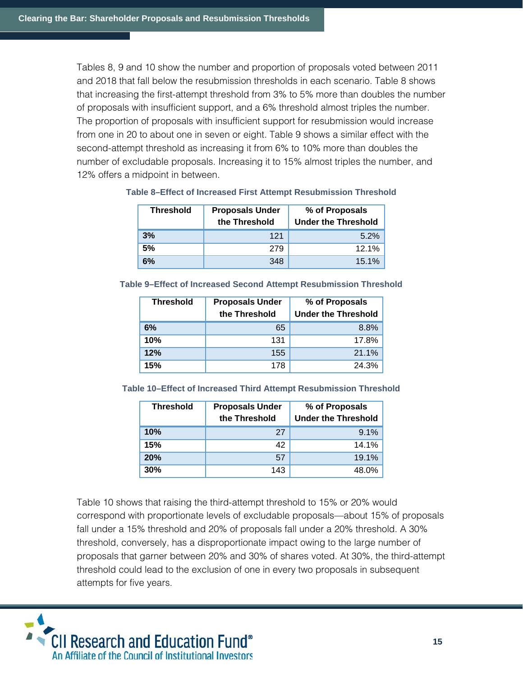Tables 8, 9 and 10 show the number and proportion of proposals voted between 2011 and 2018 that fall below the resubmission thresholds in each scenario. Table 8 shows that increasing the first-attempt threshold from 3% to 5% more than doubles the number of proposals with insufficient support, and a 6% threshold almost triples the number. The proportion of proposals with insufficient support for resubmission would increase from one in 20 to about one in seven or eight. Table 9 shows a similar effect with the second-attempt threshold as increasing it from 6% to 10% more than doubles the number of excludable proposals. Increasing it to 15% almost triples the number, and 12% offers a midpoint in between.

| <b>Threshold</b> | <b>Proposals Under</b><br>the Threshold | % of Proposals<br><b>Under the Threshold</b> |
|------------------|-----------------------------------------|----------------------------------------------|
| 3%               | 121                                     | 5.2%                                         |
| 5%               | 279                                     | 12.1%                                        |
| 6%               | 348                                     | 15.1%                                        |

#### **Table 8–Effect of Increased First Attempt Resubmission Threshold**

#### **Table 9–Effect of Increased Second Attempt Resubmission Threshold**

| <b>Threshold</b> | <b>Proposals Under</b><br>the Threshold | % of Proposals<br><b>Under the Threshold</b> |
|------------------|-----------------------------------------|----------------------------------------------|
| 6%               | 65                                      | 8.8%                                         |
| 10%              | 131                                     | 17.8%                                        |
| 12%              | 155                                     | 21.1%                                        |
| 15%              | 178                                     | 24.3%                                        |

**Table 10–Effect of Increased Third Attempt Resubmission Threshold**

| <b>Threshold</b> | <b>Proposals Under</b><br>the Threshold | % of Proposals<br><b>Under the Threshold</b> |
|------------------|-----------------------------------------|----------------------------------------------|
| 10%              | 27                                      | 9.1%                                         |
| 15%              | 42                                      | 14.1%                                        |
| 20%              | 57                                      | 19.1%                                        |
| 30%              | 143                                     | 48.0%                                        |

Table 10 shows that raising the third-attempt threshold to 15% or 20% would correspond with proportionate levels of excludable proposals—about 15% of proposals fall under a 15% threshold and 20% of proposals fall under a 20% threshold. A 30% threshold, conversely, has a disproportionate impact owing to the large number of proposals that garner between 20% and 30% of shares voted. At 30%, the third-attempt threshold could lead to the exclusion of one in every two proposals in subsequent attempts for five years.

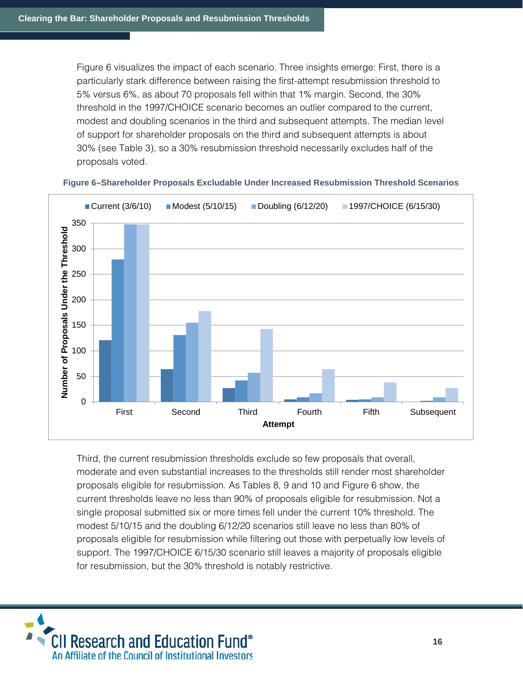Figure 6 visualizes the impact of each scenario. Three insights emerge: First, there is a particularly stark difference between raising the first-attempt resubmission threshold to 5% versus 6%, as about 70 proposals fell within that 1% margin. Second, the 30% threshold in the 1997/CHOICE scenario becomes an outlier compared to the current, modest and doubling scenarios in the third and subsequent attempts. The median level of support for shareholder proposals on the third and subsequent attempts is about 30% (see Table 3), so a 30% resubmission threshold necessarily excludes half of the proposals voted.



#### **Figure 6–Shareholder Proposals Excludable Under Increased Resubmission Threshold Scenarios**

Third, the current resubmission thresholds exclude so few proposals that overall, moderate and even substantial increases to the thresholds still render most shareholder proposals eligible for resubmission. As Tables 8, 9 and 10 and Figure 6 show, the current thresholds leave no less than 90% of proposals eligible for resubmission. Not a single proposal submitted six or more times fell under the current 10% threshold. The modest 5/10/15 and the doubling 6/12/20 scenarios still leave no less than 80% of proposals eligible for resubmission while filtering out those with perpetually low levels of support. The 1997/CHOICE 6/15/30 scenario still leaves a majority of proposals eligible for resubmission, but the 30% threshold is notably restrictive.

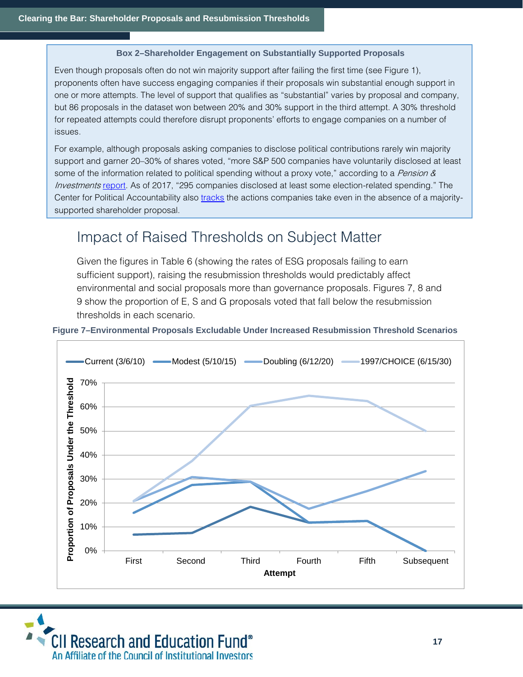#### **Box 2–Shareholder Engagement on Substantially Supported Proposals**

Even though proposals often do not win majority support after failing the first time (see Figure 1), proponents often have success engaging companies if their proposals win substantial enough support in one or more attempts. The level of support that qualifies as "substantial" varies by proposal and company, but 86 proposals in the dataset won between 20% and 30% support in the third attempt. A 30% threshold for repeated attempts could therefore disrupt proponents' efforts to engage companies on a number of issues.

For example, although proposals asking companies to disclose political contributions rarely win majority support and garner 20–30% of shares voted, "more S&P 500 companies have voluntarily disclosed at least some of the information related to political spending without a proxy vote," according to a *Pension &* Investments [report.](https://www.pionline.com/article/20180625/PRINT/180629921/corporate-political-disclosure-moves-firmly-into-mainstream) As of 2017, "295 companies disclosed at least some election-related spending." The Center for Political Accountability also *tracks* the actions companies take even in the absence of a majoritysupported shareholder proposal.

### Impact of Raised Thresholds on Subject Matter

Given the figures in Table 6 (showing the rates of ESG proposals failing to earn sufficient support), raising the resubmission thresholds would predictably affect environmental and social proposals more than governance proposals. Figures 7, 8 and 9 show the proportion of E, S and G proposals voted that fall below the resubmission thresholds in each scenario.

**Figure 7–Environmental Proposals Excludable Under Increased Resubmission Threshold Scenarios**



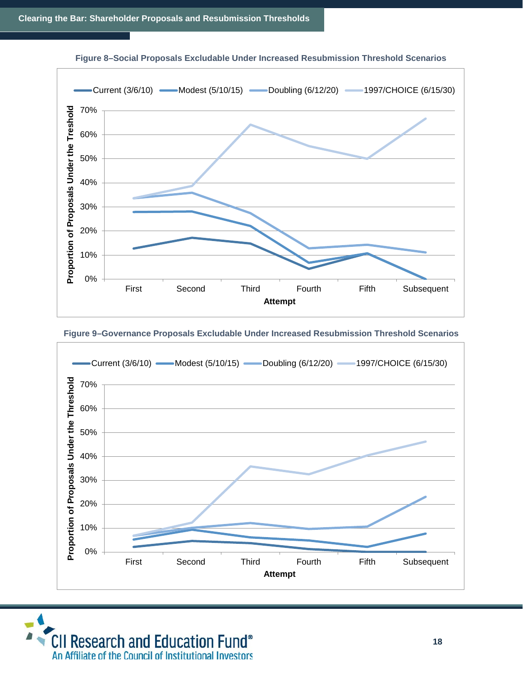

#### **Figure 8–Social Proposals Excludable Under Increased Resubmission Threshold Scenarios**





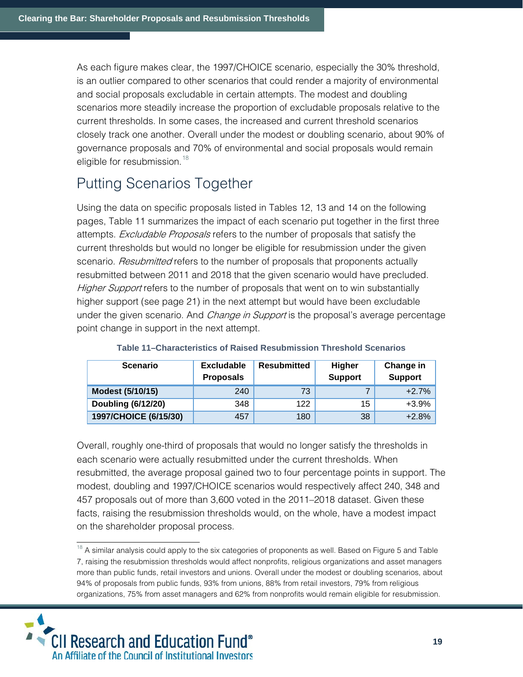As each figure makes clear, the 1997/CHOICE scenario, especially the 30% threshold, is an outlier compared to other scenarios that could render a majority of environmental and social proposals excludable in certain attempts. The modest and doubling scenarios more steadily increase the proportion of excludable proposals relative to the current thresholds. In some cases, the increased and current threshold scenarios closely track one another. Overall under the modest or doubling scenario, about 90% of governance proposals and 70% of environmental and social proposals would remain eligible for resubmission. $18$ 

# Putting Scenarios Together

Using the data on specific proposals listed in Tables 12, 13 and 14 on the following pages, Table 11 summarizes the impact of each scenario put together in the first three attempts. *Excludable Proposals* refers to the number of proposals that satisfy the current thresholds but would no longer be eligible for resubmission under the given scenario. *Resubmitted* refers to the number of proposals that proponents actually resubmitted between 2011 and 2018 that the given scenario would have precluded. Higher Support refers to the number of proposals that went on to win substantially higher support (see page 21) in the next attempt but would have been excludable under the given scenario. And *Change in Support* is the proposal's average percentage point change in support in the next attempt.

| <b>Scenario</b>           | <b>Excludable</b><br><b>Proposals</b> | <b>Resubmitted</b> | <b>Higher</b><br><b>Support</b> | Change in<br><b>Support</b> |
|---------------------------|---------------------------------------|--------------------|---------------------------------|-----------------------------|
| Modest (5/10/15)          | 240                                   | 73                 |                                 | $+2.7%$                     |
| <b>Doubling (6/12/20)</b> | 348                                   | 122                | 15                              | $+3.9%$                     |
| 1997/CHOICE (6/15/30)     | 457                                   | 180                | 38                              | $+2.8%$                     |

| Table 11–Characteristics of Raised Resubmission Threshold Scenarios |  |
|---------------------------------------------------------------------|--|
|---------------------------------------------------------------------|--|

Overall, roughly one-third of proposals that would no longer satisfy the thresholds in each scenario were actually resubmitted under the current thresholds. When resubmitted, the average proposal gained two to four percentage points in support. The modest, doubling and 1997/CHOICE scenarios would respectively affect 240, 348 and 457 proposals out of more than 3,600 voted in the 2011–2018 dataset. Given these facts, raising the resubmission thresholds would, on the whole, have a modest impact on the shareholder proposal process.

<span id="page-18-0"></span> $18$  A similar analysis could apply to the six categories of proponents as well. Based on Figure 5 and Table 7, raising the resubmission thresholds would affect nonprofits, religious organizations and asset managers more than public funds, retail investors and unions. Overall under the modest or doubling scenarios, about 94% of proposals from public funds, 93% from unions, 88% from retail investors, 79% from religious organizations, 75% from asset managers and 62% from nonprofits would remain eligible for resubmission.

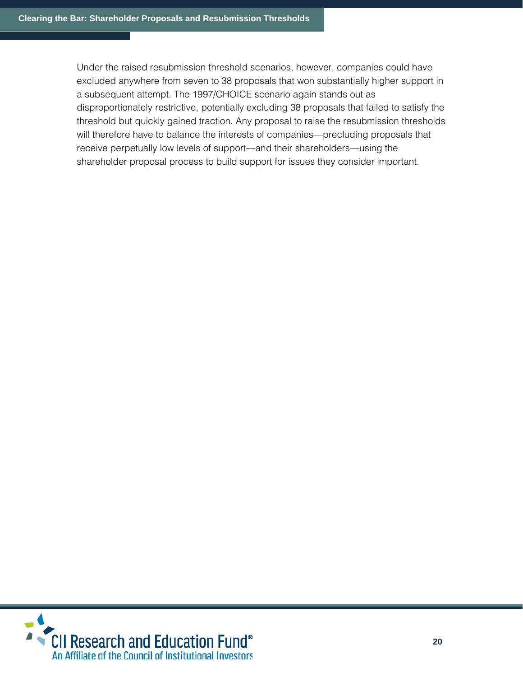Under the raised resubmission threshold scenarios, however, companies could have excluded anywhere from seven to 38 proposals that won substantially higher support in a subsequent attempt. The 1997/CHOICE scenario again stands out as disproportionately restrictive, potentially excluding 38 proposals that failed to satisfy the threshold but quickly gained traction. Any proposal to raise the resubmission thresholds will therefore have to balance the interests of companies—precluding proposals that receive perpetually low levels of support—and their shareholders—using the shareholder proposal process to build support for issues they consider important.

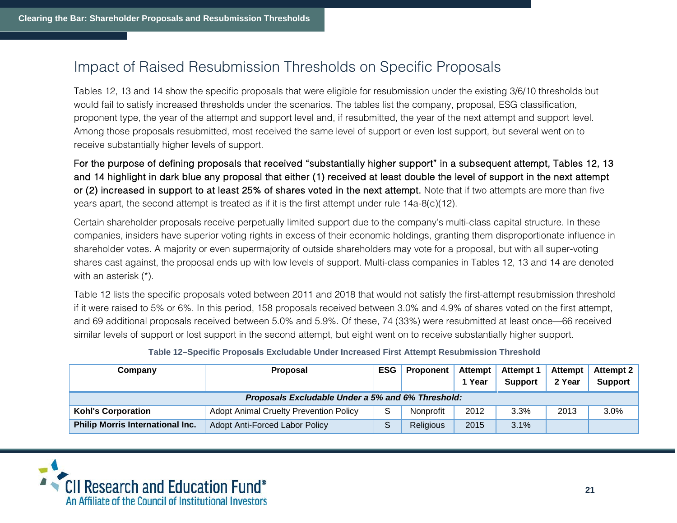### Impact of Raised Resubmission Thresholds on Specific Proposals

Tables 12, 13 and 14 show the specific proposals that were eligible for resubmission under the existing 3/6/10 thresholds but would fail to satisfy increased thresholds under the scenarios. The tables list the company, proposal, ESG classification, proponent type, the year of the attempt and support level and, if resubmitted, the year of the next attempt and support level. Among those proposals resubmitted, most received the same level of support or even lost support, but several went on to receive substantially higher levels of support.

For the purpose of defining proposals that received "substantially higher support" in a subsequent attempt, Tables 12, 13 and 14 highlight in dark blue any proposal that either (1) received at least double the level of support in the next attempt or (2) increased in support to at least 25% of shares voted in the next attempt. Note that if two attempts are more than five years apart, the second attempt is treated as if it is the first attempt under rule 14a-8(c)(12).

Certain shareholder proposals receive perpetually limited support due to the company's multi-class capital structure. In these companies, insiders have superior voting rights in excess of their economic holdings, granting them disproportionate influence in shareholder votes. A majority or even supermajority of outside shareholders may vote for a proposal, but with all super-voting shares cast against, the proposal ends up with low levels of support. Multi-class companies in Tables 12, 13 and 14 are denoted with an asterisk (\*).

Table 12 lists the specific proposals voted between 2011 and 2018 that would not satisfy the first-attempt resubmission threshold if it were raised to 5% or 6%. In this period, 158 proposals received between 3.0% and 4.9% of shares voted on the first attempt, and 69 additional proposals received between 5.0% and 5.9%. Of these, 74 (33%) were resubmitted at least once—66 received similar levels of support or lost support in the second attempt, but eight went on to receive substantially higher support.

|         | i apic TE - Opodino i Topodalo Excludable Onder Indicaded I IIot Attenipt Redubilitorien Thilodiole |         |                                                             |        |         |        |         |
|---------|-----------------------------------------------------------------------------------------------------|---------|-------------------------------------------------------------|--------|---------|--------|---------|
| Company | <b>Proposal</b>                                                                                     |         | ESG   Proponent   Attempt   Attempt 1   Attempt   Attempt 2 | 1 Year | Support | 2 Year | Support |
|         | .                                                                                                   | $- - -$ | --------<br>.                                               |        |         |        |         |

**Table 12–Specific Proposals Excludable Under Increased First Attempt Resubmission Threshold**

|                                         |                                                   |           |      | - -     |      | .       |
|-----------------------------------------|---------------------------------------------------|-----------|------|---------|------|---------|
|                                         | Proposals Excludable Under a 5% and 6% Threshold: |           |      |         |      |         |
| <b>Kohl's Corporation</b>               | <b>Adopt Animal Cruelty Prevention Policy</b>     | Nonprofit | 2012 | $3.3\%$ | 2013 | $3.0\%$ |
| <b>Philip Morris International Inc.</b> | Adopt Anti-Forced Labor Policy                    | Religious | 2015 | 3.1%    |      |         |
|                                         |                                                   |           |      |         |      |         |

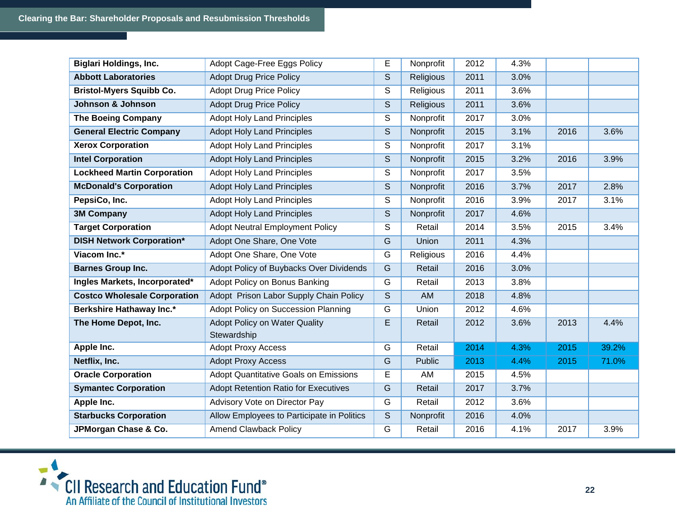| <b>Biglari Holdings, Inc.</b>       | Adopt Cage-Free Eggs Policy                         | E              | Nonprofit | 2012 | 4.3% |      |       |
|-------------------------------------|-----------------------------------------------------|----------------|-----------|------|------|------|-------|
| <b>Abbott Laboratories</b>          | <b>Adopt Drug Price Policy</b>                      | S              | Religious | 2011 | 3.0% |      |       |
| <b>Bristol-Myers Squibb Co.</b>     | <b>Adopt Drug Price Policy</b>                      | S              | Religious | 2011 | 3.6% |      |       |
| Johnson & Johnson                   | <b>Adopt Drug Price Policy</b>                      | S              | Religious | 2011 | 3.6% |      |       |
| <b>The Boeing Company</b>           | <b>Adopt Holy Land Principles</b>                   | S              | Nonprofit | 2017 | 3.0% |      |       |
| <b>General Electric Company</b>     | <b>Adopt Holy Land Principles</b>                   | S              | Nonprofit | 2015 | 3.1% | 2016 | 3.6%  |
| <b>Xerox Corporation</b>            | <b>Adopt Holy Land Principles</b>                   | S              | Nonprofit | 2017 | 3.1% |      |       |
| <b>Intel Corporation</b>            | <b>Adopt Holy Land Principles</b>                   | $\mathsf S$    | Nonprofit | 2015 | 3.2% | 2016 | 3.9%  |
| <b>Lockheed Martin Corporation</b>  | <b>Adopt Holy Land Principles</b>                   | S              | Nonprofit | 2017 | 3.5% |      |       |
| <b>McDonald's Corporation</b>       | <b>Adopt Holy Land Principles</b>                   | S              | Nonprofit | 2016 | 3.7% | 2017 | 2.8%  |
| PepsiCo, Inc.                       | <b>Adopt Holy Land Principles</b>                   | S              | Nonprofit | 2016 | 3.9% | 2017 | 3.1%  |
| <b>3M Company</b>                   | <b>Adopt Holy Land Principles</b>                   | S              | Nonprofit | 2017 | 4.6% |      |       |
| <b>Target Corporation</b>           | <b>Adopt Neutral Employment Policy</b>              | S              | Retail    | 2014 | 3.5% | 2015 | 3.4%  |
| <b>DISH Network Corporation*</b>    | Adopt One Share, One Vote                           | $\overline{G}$ | Union     | 2011 | 4.3% |      |       |
| Viacom Inc.*                        | Adopt One Share, One Vote                           | G              | Religious | 2016 | 4.4% |      |       |
| <b>Barnes Group Inc.</b>            | Adopt Policy of Buybacks Over Dividends             | G              | Retail    | 2016 | 3.0% |      |       |
| Ingles Markets, Incorporated*       | Adopt Policy on Bonus Banking                       | G              | Retail    | 2013 | 3.8% |      |       |
| <b>Costco Wholesale Corporation</b> | Adopt Prison Labor Supply Chain Policy              | $\mathsf S$    | AM        | 2018 | 4.8% |      |       |
| Berkshire Hathaway Inc.*            | Adopt Policy on Succession Planning                 | G              | Union     | 2012 | 4.6% |      |       |
| The Home Depot, Inc.                | <b>Adopt Policy on Water Quality</b><br>Stewardship | E              | Retail    | 2012 | 3.6% | 2013 | 4.4%  |
| Apple Inc.                          | <b>Adopt Proxy Access</b>                           | $\overline{G}$ | Retail    | 2014 | 4.3% | 2015 | 39.2% |
| Netflix, Inc.                       | <b>Adopt Proxy Access</b>                           | G              | Public    | 2013 | 4.4% | 2015 | 71.0% |
| <b>Oracle Corporation</b>           | <b>Adopt Quantitative Goals on Emissions</b>        | E              | AM        | 2015 | 4.5% |      |       |
| <b>Symantec Corporation</b>         | <b>Adopt Retention Ratio for Executives</b>         | G              | Retail    | 2017 | 3.7% |      |       |
| Apple Inc.                          | Advisory Vote on Director Pay                       | G              | Retail    | 2012 | 3.6% |      |       |
| <b>Starbucks Corporation</b>        | Allow Employees to Participate in Politics          | $\mathsf S$    | Nonprofit | 2016 | 4.0% |      |       |
| JPMorgan Chase & Co.                | <b>Amend Clawback Policy</b>                        | G              | Retail    | 2016 | 4.1% | 2017 | 3.9%  |
|                                     |                                                     |                |           |      |      |      |       |

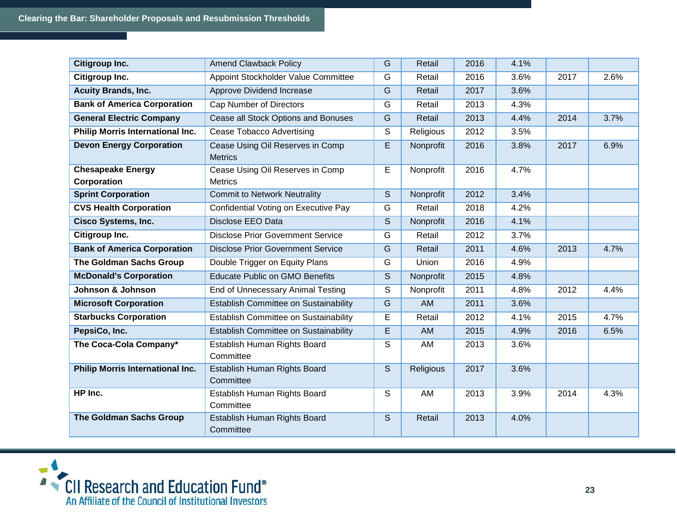| Citigroup Inc.                                 | <b>Amend Clawback Policy</b>                       | G              | Retail           | 2016 | 4.1% |      |      |
|------------------------------------------------|----------------------------------------------------|----------------|------------------|------|------|------|------|
| Citigroup Inc.                                 | Appoint Stockholder Value Committee                | G              | Retail           | 2016 | 3.6% | 2017 | 2.6% |
| <b>Acuity Brands, Inc.</b>                     | Approve Dividend Increase                          | G              | Retail           | 2017 | 3.6% |      |      |
| <b>Bank of America Corporation</b>             | <b>Cap Number of Directors</b>                     | $\overline{G}$ | Retail           | 2013 | 4.3% |      |      |
| <b>General Electric Company</b>                | Cease all Stock Options and Bonuses                | G              | Retail           | 2013 | 4.4% | 2014 | 3.7% |
| Philip Morris International Inc.               | <b>Cease Tobacco Advertising</b>                   | S              | Religious        | 2012 | 3.5% |      |      |
| <b>Devon Energy Corporation</b>                | Cease Using Oil Reserves in Comp<br><b>Metrics</b> | E              | Nonprofit        | 2016 | 3.8% | 2017 | 6.9% |
| <b>Chesapeake Energy</b><br><b>Corporation</b> | Cease Using Oil Reserves in Comp<br><b>Metrics</b> | E              | Nonprofit        | 2016 | 4.7% |      |      |
| <b>Sprint Corporation</b>                      | <b>Commit to Network Neutrality</b>                | S              | Nonprofit        | 2012 | 3.4% |      |      |
| <b>CVS Health Corporation</b>                  | Confidential Voting on Executive Pay               | G              | Retail           | 2018 | 4.2% |      |      |
| <b>Cisco Systems, Inc.</b>                     | <b>Disclose EEO Data</b>                           | S              | Nonprofit        | 2016 | 4.1% |      |      |
| Citigroup Inc.                                 | <b>Disclose Prior Government Service</b>           | G              | Retail           | 2012 | 3.7% |      |      |
| <b>Bank of America Corporation</b>             | <b>Disclose Prior Government Service</b>           | G              | Retail           | 2011 | 4.6% | 2013 | 4.7% |
| The Goldman Sachs Group                        | Double Trigger on Equity Plans                     | G              | Union            | 2016 | 4.9% |      |      |
| <b>McDonald's Corporation</b>                  | <b>Educate Public on GMO Benefits</b>              | S              | Nonprofit        | 2015 | 4.8% |      |      |
| Johnson & Johnson                              | End of Unnecessary Animal Testing                  | S              | Nonprofit        | 2011 | 4.8% | 2012 | 4.4% |
| <b>Microsoft Corporation</b>                   | Establish Committee on Sustainability              | G              | AM               | 2011 | 3.6% |      |      |
| <b>Starbucks Corporation</b>                   | Establish Committee on Sustainability              | E              | Retail           | 2012 | 4.1% | 2015 | 4.7% |
| PepsiCo, Inc.                                  | Establish Committee on Sustainability              | E              | AM               | 2015 | 4.9% | 2016 | 6.5% |
| The Coca-Cola Company*                         | Establish Human Rights Board<br>Committee          | S              | AM               | 2013 | 3.6% |      |      |
| <b>Philip Morris International Inc.</b>        | Establish Human Rights Board<br>Committee          | S              | <b>Religious</b> | 2017 | 3.6% |      |      |
| HP Inc.                                        | Establish Human Rights Board<br>Committee          | S              | AM               | 2013 | 3.9% | 2014 | 4.3% |
| The Goldman Sachs Group                        | Establish Human Rights Board<br>Committee          | S              | Retail           | 2013 | 4.0% |      |      |

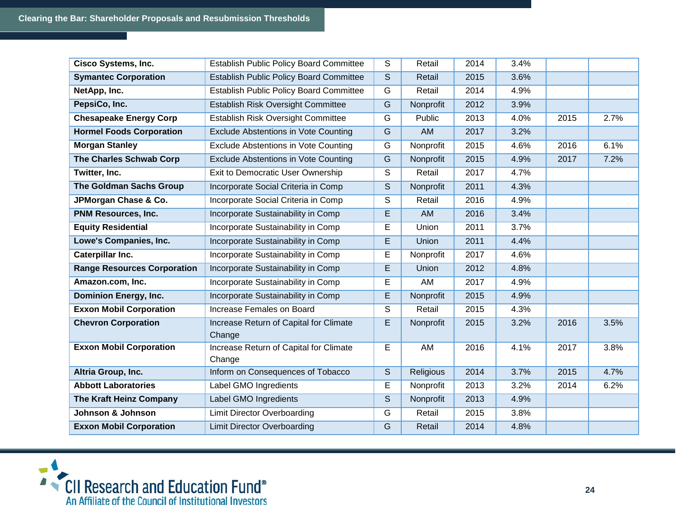| <b>Cisco Systems, Inc.</b>         | <b>Establish Public Policy Board Committee</b>   | S                       | Retail    | 2014 | 3.4% |      |      |
|------------------------------------|--------------------------------------------------|-------------------------|-----------|------|------|------|------|
| <b>Symantec Corporation</b>        | <b>Establish Public Policy Board Committee</b>   | S                       | Retail    | 2015 | 3.6% |      |      |
| NetApp, Inc.                       | <b>Establish Public Policy Board Committee</b>   | G                       | Retail    | 2014 | 4.9% |      |      |
| PepsiCo, Inc.                      | Establish Risk Oversight Committee               | G                       | Nonprofit | 2012 | 3.9% |      |      |
| <b>Chesapeake Energy Corp</b>      | Establish Risk Oversight Committee               | G                       | Public    | 2013 | 4.0% | 2015 | 2.7% |
| <b>Hormel Foods Corporation</b>    | Exclude Abstentions in Vote Counting             | G                       | <b>AM</b> | 2017 | 3.2% |      |      |
| <b>Morgan Stanley</b>              | Exclude Abstentions in Vote Counting             | $\overline{G}$          | Nonprofit | 2015 | 4.6% | 2016 | 6.1% |
| The Charles Schwab Corp            | Exclude Abstentions in Vote Counting             | G                       | Nonprofit | 2015 | 4.9% | 2017 | 7.2% |
| Twitter, Inc.                      | Exit to Democratic User Ownership                | S                       | Retail    | 2017 | 4.7% |      |      |
| <b>The Goldman Sachs Group</b>     | Incorporate Social Criteria in Comp              | $\overline{\mathsf{s}}$ | Nonprofit | 2011 | 4.3% |      |      |
| JPMorgan Chase & Co.               | Incorporate Social Criteria in Comp              | $\mathsf{S}$            | Retail    | 2016 | 4.9% |      |      |
| PNM Resources, Inc.                | Incorporate Sustainability in Comp               | E                       | <b>AM</b> | 2016 | 3.4% |      |      |
| <b>Equity Residential</b>          | Incorporate Sustainability in Comp               | E                       | Union     | 2011 | 3.7% |      |      |
| Lowe's Companies, Inc.             | Incorporate Sustainability in Comp               | E                       | Union     | 2011 | 4.4% |      |      |
| <b>Caterpillar Inc.</b>            | Incorporate Sustainability in Comp               | E                       | Nonprofit | 2017 | 4.6% |      |      |
| <b>Range Resources Corporation</b> | Incorporate Sustainability in Comp               | E                       | Union     | 2012 | 4.8% |      |      |
| Amazon.com, Inc.                   | Incorporate Sustainability in Comp               | E                       | AM        | 2017 | 4.9% |      |      |
| <b>Dominion Energy, Inc.</b>       | Incorporate Sustainability in Comp               | E                       | Nonprofit | 2015 | 4.9% |      |      |
| <b>Exxon Mobil Corporation</b>     | Increase Females on Board                        | $\overline{\mathsf{s}}$ | Retail    | 2015 | 4.3% |      |      |
| <b>Chevron Corporation</b>         | Increase Return of Capital for Climate<br>Change | E                       | Nonprofit | 2015 | 3.2% | 2016 | 3.5% |
| <b>Exxon Mobil Corporation</b>     | Increase Return of Capital for Climate<br>Change | E                       | AM        | 2016 | 4.1% | 2017 | 3.8% |
| Altria Group, Inc.                 | Inform on Consequences of Tobacco                | S                       | Religious | 2014 | 3.7% | 2015 | 4.7% |
| <b>Abbott Laboratories</b>         | <b>Label GMO Ingredients</b>                     | E                       | Nonprofit | 2013 | 3.2% | 2014 | 6.2% |
| The Kraft Heinz Company            | Label GMO Ingredients                            | $\mathsf S$             | Nonprofit | 2013 | 4.9% |      |      |
| Johnson & Johnson                  | <b>Limit Director Overboarding</b>               | G                       | Retail    | 2015 | 3.8% |      |      |
| <b>Exxon Mobil Corporation</b>     | <b>Limit Director Overboarding</b>               | G                       | Retail    | 2014 | 4.8% |      |      |

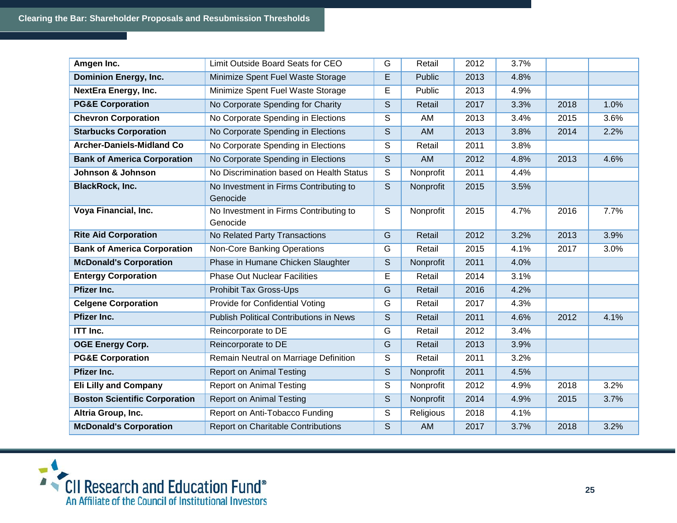| Amgen Inc.                           | Limit Outside Board Seats for CEO                  | G                       | Retail    | 2012 | 3.7% |      |      |
|--------------------------------------|----------------------------------------------------|-------------------------|-----------|------|------|------|------|
| <b>Dominion Energy, Inc.</b>         | Minimize Spent Fuel Waste Storage                  | E                       | Public    | 2013 | 4.8% |      |      |
| <b>NextEra Energy, Inc.</b>          | Minimize Spent Fuel Waste Storage                  | E                       | Public    | 2013 | 4.9% |      |      |
| <b>PG&amp;E Corporation</b>          | No Corporate Spending for Charity                  | S                       | Retail    | 2017 | 3.3% | 2018 | 1.0% |
| <b>Chevron Corporation</b>           | No Corporate Spending in Elections                 | S                       | AM        | 2013 | 3.4% | 2015 | 3.6% |
| <b>Starbucks Corporation</b>         | No Corporate Spending in Elections                 | S                       | <b>AM</b> | 2013 | 3.8% | 2014 | 2.2% |
| <b>Archer-Daniels-Midland Co</b>     | No Corporate Spending in Elections                 | S                       | Retail    | 2011 | 3.8% |      |      |
| <b>Bank of America Corporation</b>   | No Corporate Spending in Elections                 | S                       | AM        | 2012 | 4.8% | 2013 | 4.6% |
| Johnson & Johnson                    | No Discrimination based on Health Status           | S                       | Nonprofit | 2011 | 4.4% |      |      |
| <b>BlackRock, Inc.</b>               | No Investment in Firms Contributing to<br>Genocide | $\overline{\mathsf{s}}$ | Nonprofit | 2015 | 3.5% |      |      |
| Voya Financial, Inc.                 | No Investment in Firms Contributing to<br>Genocide | $\mathsf{S}$            | Nonprofit | 2015 | 4.7% | 2016 | 7.7% |
| <b>Rite Aid Corporation</b>          | No Related Party Transactions                      | G                       | Retail    | 2012 | 3.2% | 2013 | 3.9% |
| <b>Bank of America Corporation</b>   | Non-Core Banking Operations                        | G                       | Retail    | 2015 | 4.1% | 2017 | 3.0% |
| <b>McDonald's Corporation</b>        | Phase in Humane Chicken Slaughter                  | S                       | Nonprofit | 2011 | 4.0% |      |      |
| <b>Entergy Corporation</b>           | <b>Phase Out Nuclear Facilities</b>                | E                       | Retail    | 2014 | 3.1% |      |      |
| <b>Pfizer Inc.</b>                   | <b>Prohibit Tax Gross-Ups</b>                      | G                       | Retail    | 2016 | 4.2% |      |      |
| <b>Celgene Corporation</b>           | Provide for Confidential Voting                    | G                       | Retail    | 2017 | 4.3% |      |      |
| Pfizer Inc.                          | <b>Publish Political Contributions in News</b>     | S                       | Retail    | 2011 | 4.6% | 2012 | 4.1% |
| <b>ITT Inc.</b>                      | Reincorporate to DE                                | G                       | Retail    | 2012 | 3.4% |      |      |
| <b>OGE Energy Corp.</b>              | Reincorporate to DE                                | G                       | Retail    | 2013 | 3.9% |      |      |
| <b>PG&amp;E Corporation</b>          | Remain Neutral on Marriage Definition              | S                       | Retail    | 2011 | 3.2% |      |      |
| Pfizer Inc.                          | <b>Report on Animal Testing</b>                    | $\mathsf S$             | Nonprofit | 2011 | 4.5% |      |      |
| <b>Eli Lilly and Company</b>         | <b>Report on Animal Testing</b>                    | S                       | Nonprofit | 2012 | 4.9% | 2018 | 3.2% |
| <b>Boston Scientific Corporation</b> | <b>Report on Animal Testing</b>                    | S                       | Nonprofit | 2014 | 4.9% | 2015 | 3.7% |
| Altria Group, Inc.                   | Report on Anti-Tobacco Funding                     | S                       | Religious | 2018 | 4.1% |      |      |
| <b>McDonald's Corporation</b>        | Report on Charitable Contributions                 | S                       | AM        | 2017 | 3.7% | 2018 | 3.2% |

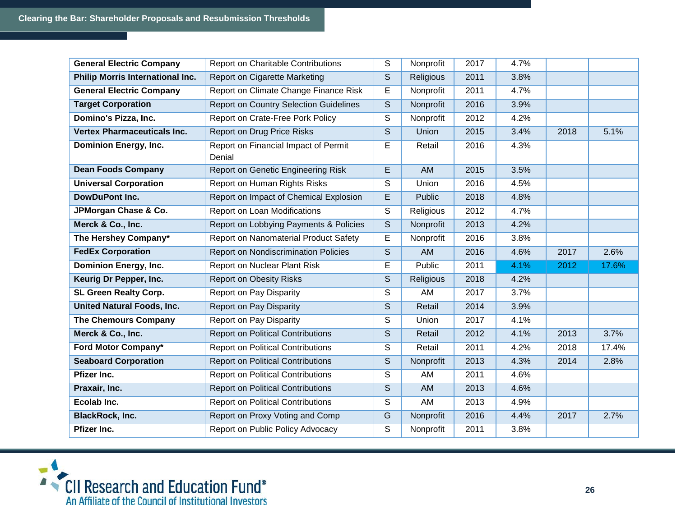| <b>General Electric Company</b>    | <b>Report on Charitable Contributions</b>      | S            | Nonprofit | 2017 | 4.7% |      |       |
|------------------------------------|------------------------------------------------|--------------|-----------|------|------|------|-------|
| Philip Morris International Inc.   | Report on Cigarette Marketing                  | S            | Religious | 2011 | 3.8% |      |       |
| <b>General Electric Company</b>    | Report on Climate Change Finance Risk          | E            | Nonprofit | 2011 | 4.7% |      |       |
| <b>Target Corporation</b>          | <b>Report on Country Selection Guidelines</b>  | S            | Nonprofit | 2016 | 3.9% |      |       |
| Domino's Pizza, Inc.               | Report on Crate-Free Pork Policy               | S            | Nonprofit | 2012 | 4.2% |      |       |
| <b>Vertex Pharmaceuticals Inc.</b> | <b>Report on Drug Price Risks</b>              | S            | Union     | 2015 | 3.4% | 2018 | 5.1%  |
| <b>Dominion Energy, Inc.</b>       | Report on Financial Impact of Permit<br>Denial | E            | Retail    | 2016 | 4.3% |      |       |
| <b>Dean Foods Company</b>          | Report on Genetic Engineering Risk             | E            | AM        | 2015 | 3.5% |      |       |
| <b>Universal Corporation</b>       | Report on Human Rights Risks                   | S            | Union     | 2016 | 4.5% |      |       |
| <b>DowDuPont Inc.</b>              | Report on Impact of Chemical Explosion         | E            | Public    | 2018 | 4.8% |      |       |
| JPMorgan Chase & Co.               | Report on Loan Modifications                   | S            | Religious | 2012 | 4.7% |      |       |
| Merck & Co., Inc.                  | Report on Lobbying Payments & Policies         | S            | Nonprofit | 2013 | 4.2% |      |       |
| The Hershey Company*               | Report on Nanomaterial Product Safety          | E            | Nonprofit | 2016 | 3.8% |      |       |
| <b>FedEx Corporation</b>           | <b>Report on Nondiscrimination Policies</b>    | S            | AM        | 2016 | 4.6% | 2017 | 2.6%  |
| <b>Dominion Energy, Inc.</b>       | <b>Report on Nuclear Plant Risk</b>            | Е            | Public    | 2011 | 4.1% | 2012 | 17.6% |
| Keurig Dr Pepper, Inc.             | <b>Report on Obesity Risks</b>                 | S            | Religious | 2018 | 4.2% |      |       |
| SL Green Realty Corp.              | Report on Pay Disparity                        | S            | AM        | 2017 | 3.7% |      |       |
| <b>United Natural Foods, Inc.</b>  | <b>Report on Pay Disparity</b>                 | S            | Retail    | 2014 | 3.9% |      |       |
| <b>The Chemours Company</b>        | Report on Pay Disparity                        | S            | Union     | 2017 | 4.1% |      |       |
| Merck & Co., Inc.                  | <b>Report on Political Contributions</b>       | $\mathsf{S}$ | Retail    | 2012 | 4.1% | 2013 | 3.7%  |
| Ford Motor Company*                | <b>Report on Political Contributions</b>       | S            | Retail    | 2011 | 4.2% | 2018 | 17.4% |
| <b>Seaboard Corporation</b>        | <b>Report on Political Contributions</b>       | S            | Nonprofit | 2013 | 4.3% | 2014 | 2.8%  |
| Pfizer Inc.                        | <b>Report on Political Contributions</b>       | S            | AM        | 2011 | 4.6% |      |       |
| Praxair, Inc.                      | <b>Report on Political Contributions</b>       | S            | AM        | 2013 | 4.6% |      |       |
| Ecolab Inc.                        | <b>Report on Political Contributions</b>       | S            | AM        | 2013 | 4.9% |      |       |
| <b>BlackRock, Inc.</b>             | Report on Proxy Voting and Comp                | G            | Nonprofit | 2016 | 4.4% | 2017 | 2.7%  |
| Pfizer Inc.                        | Report on Public Policy Advocacy               | S            | Nonprofit | 2011 | 3.8% |      |       |

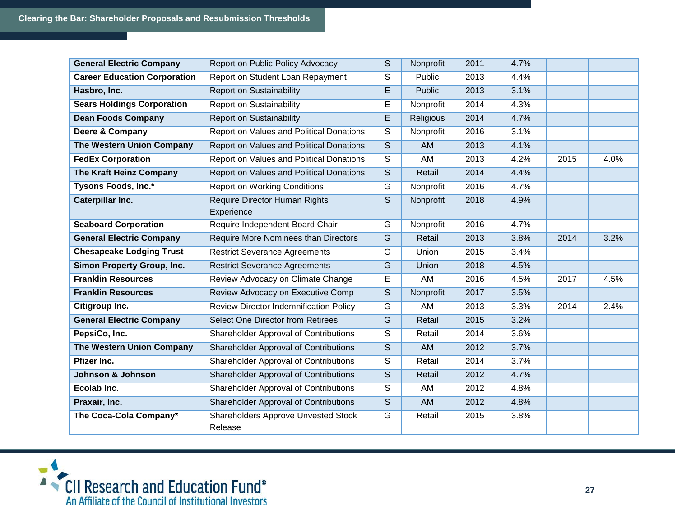| <b>General Electric Company</b>     | Report on Public Policy Advocacy                | S           | Nonprofit | 2011 | 4.7% |      |      |
|-------------------------------------|-------------------------------------------------|-------------|-----------|------|------|------|------|
| <b>Career Education Corporation</b> | Report on Student Loan Repayment                | S           | Public    | 2013 | 4.4% |      |      |
| Hasbro, Inc.                        | <b>Report on Sustainability</b>                 | E           | Public    | 2013 | 3.1% |      |      |
| <b>Sears Holdings Corporation</b>   | <b>Report on Sustainability</b>                 | E           | Nonprofit | 2014 | 4.3% |      |      |
| <b>Dean Foods Company</b>           | <b>Report on Sustainability</b>                 | E           | Religious | 2014 | 4.7% |      |      |
| Deere & Company                     | Report on Values and Political Donations        | S           | Nonprofit | 2016 | 3.1% |      |      |
| <b>The Western Union Company</b>    | <b>Report on Values and Political Donations</b> | S           | <b>AM</b> | 2013 | 4.1% |      |      |
| <b>FedEx Corporation</b>            | Report on Values and Political Donations        | S           | AM        | 2013 | 4.2% | 2015 | 4.0% |
| The Kraft Heinz Company             | Report on Values and Political Donations        | S           | Retail    | 2014 | 4.4% |      |      |
| Tysons Foods, Inc.*                 | <b>Report on Working Conditions</b>             | G           | Nonprofit | 2016 | 4.7% |      |      |
| <b>Caterpillar Inc.</b>             | Require Director Human Rights<br>Experience     | S           | Nonprofit | 2018 | 4.9% |      |      |
| <b>Seaboard Corporation</b>         | Require Independent Board Chair                 | G           | Nonprofit | 2016 | 4.7% |      |      |
| <b>General Electric Company</b>     | Require More Nominees than Directors            | G           | Retail    | 2013 | 3.8% | 2014 | 3.2% |
| <b>Chesapeake Lodging Trust</b>     | <b>Restrict Severance Agreements</b>            | G           | Union     | 2015 | 3.4% |      |      |
| Simon Property Group, Inc.          | <b>Restrict Severance Agreements</b>            | G           | Union     | 2018 | 4.5% |      |      |
| <b>Franklin Resources</b>           | Review Advocacy on Climate Change               | E           | AM        | 2016 | 4.5% | 2017 | 4.5% |
| <b>Franklin Resources</b>           | Review Advocacy on Executive Comp               | S           | Nonprofit | 2017 | 3.5% |      |      |
| Citigroup Inc.                      | <b>Review Director Indemnification Policy</b>   | G           | AM        | 2013 | 3.3% | 2014 | 2.4% |
| <b>General Electric Company</b>     | Select One Director from Retirees               | G           | Retail    | 2015 | 3.2% |      |      |
| PepsiCo, Inc.                       | Shareholder Approval of Contributions           | S           | Retail    | 2014 | 3.6% |      |      |
| The Western Union Company           | Shareholder Approval of Contributions           | S           | AM        | 2012 | 3.7% |      |      |
| Pfizer Inc.                         | Shareholder Approval of Contributions           | $\mathsf S$ | Retail    | 2014 | 3.7% |      |      |
| Johnson & Johnson                   | Shareholder Approval of Contributions           | S           | Retail    | 2012 | 4.7% |      |      |
| Ecolab Inc.                         | <b>Shareholder Approval of Contributions</b>    | S           | AM        | 2012 | 4.8% |      |      |
| Praxair, Inc.                       | Shareholder Approval of Contributions           | S           | <b>AM</b> | 2012 | 4.8% |      |      |
| The Coca-Cola Company*              | Shareholders Approve Unvested Stock<br>Release  | G           | Retail    | 2015 | 3.8% |      |      |

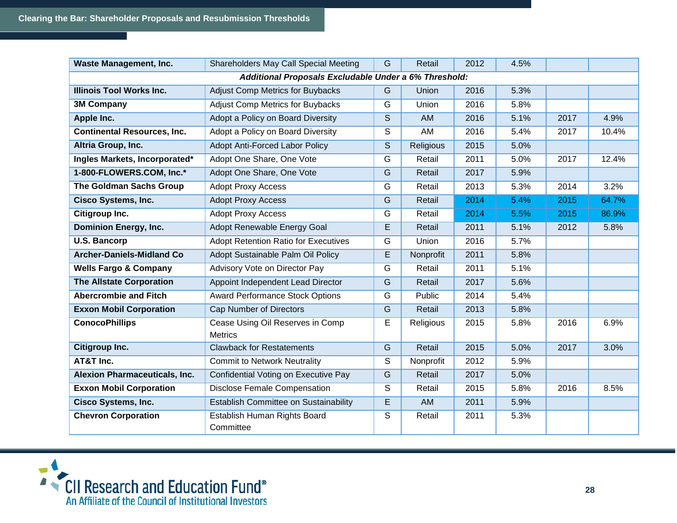| <b>Waste Management, Inc.</b>        | Shareholders May Call Special Meeting                 | G              | Retail           | 2012 | 4.5% |      |       |
|--------------------------------------|-------------------------------------------------------|----------------|------------------|------|------|------|-------|
|                                      | Additional Proposals Excludable Under a 6% Threshold: |                |                  |      |      |      |       |
| <b>Illinois Tool Works Inc.</b>      | <b>Adjust Comp Metrics for Buybacks</b>               | G              | Union            | 2016 | 5.3% |      |       |
| <b>3M Company</b>                    | <b>Adjust Comp Metrics for Buybacks</b>               | G              | Union            | 2016 | 5.8% |      |       |
| Apple Inc.                           | Adopt a Policy on Board Diversity                     | S              | <b>AM</b>        | 2016 | 5.1% | 2017 | 4.9%  |
| <b>Continental Resources, Inc.</b>   | Adopt a Policy on Board Diversity                     | S              | AM               | 2016 | 5.4% | 2017 | 10.4% |
| Altria Group, Inc.                   | <b>Adopt Anti-Forced Labor Policy</b>                 | S              | <b>Religious</b> | 2015 | 5.0% |      |       |
| Ingles Markets, Incorporated*        | Adopt One Share, One Vote                             | G              | Retail           | 2011 | 5.0% | 2017 | 12.4% |
| 1-800-FLOWERS.COM, Inc.*             | Adopt One Share, One Vote                             | G              | Retail           | 2017 | 5.9% |      |       |
| <b>The Goldman Sachs Group</b>       | <b>Adopt Proxy Access</b>                             | G              | Retail           | 2013 | 5.3% | 2014 | 3.2%  |
| <b>Cisco Systems, Inc.</b>           | <b>Adopt Proxy Access</b>                             | G              | Retail           | 2014 | 5.4% | 2015 | 64.7% |
| Citigroup Inc.                       | <b>Adopt Proxy Access</b>                             | G              | Retail           | 2014 | 5.5% | 2015 | 86.9% |
| <b>Dominion Energy, Inc.</b>         | Adopt Renewable Energy Goal                           | $\overline{E}$ | Retail           | 2011 | 5.1% | 2012 | 5.8%  |
| <b>U.S. Bancorp</b>                  | <b>Adopt Retention Ratio for Executives</b>           | G              | Union            | 2016 | 5.7% |      |       |
| <b>Archer-Daniels-Midland Co</b>     | Adopt Sustainable Palm Oil Policy                     | E              | Nonprofit        | 2011 | 5.8% |      |       |
| <b>Wells Fargo &amp; Company</b>     | Advisory Vote on Director Pay                         | G              | Retail           | 2011 | 5.1% |      |       |
| <b>The Allstate Corporation</b>      | Appoint Independent Lead Director                     | G              | Retail           | 2017 | 5.6% |      |       |
| <b>Abercrombie and Fitch</b>         | <b>Award Performance Stock Options</b>                | G              | Public           | 2014 | 5.4% |      |       |
| <b>Exxon Mobil Corporation</b>       | Cap Number of Directors                               | G              | Retail           | 2013 | 5.8% |      |       |
| <b>ConocoPhillips</b>                | Cease Using Oil Reserves in Comp                      | E              | Religious        | 2015 | 5.8% | 2016 | 6.9%  |
|                                      | <b>Metrics</b>                                        |                |                  |      |      |      |       |
| Citigroup Inc.                       | <b>Clawback for Restatements</b>                      | G              | Retail           | 2015 | 5.0% | 2017 | 3.0%  |
| AT&T Inc.                            | <b>Commit to Network Neutrality</b>                   | S              | Nonprofit        | 2012 | 5.9% |      |       |
| <b>Alexion Pharmaceuticals, Inc.</b> | Confidential Voting on Executive Pay                  | G              | Retail           | 2017 | 5.0% |      |       |
| <b>Exxon Mobil Corporation</b>       | <b>Disclose Female Compensation</b>                   | S              | Retail           | 2015 | 5.8% | 2016 | 8.5%  |
| <b>Cisco Systems, Inc.</b>           | Establish Committee on Sustainability                 | E              | <b>AM</b>        | 2011 | 5.9% |      |       |
| <b>Chevron Corporation</b>           | Establish Human Rights Board<br>Committee             | S              | Retail           | 2011 | 5.3% |      |       |

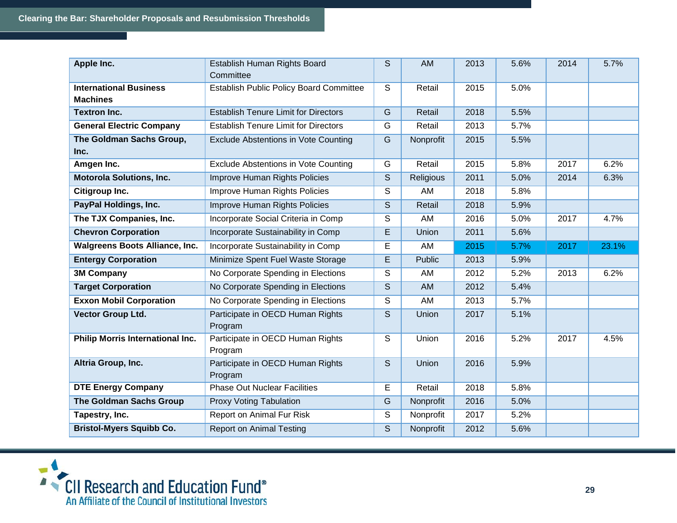| Apple Inc.                                       | Establish Human Rights Board<br>Committee      | S                                                                                                                                                                                                                                                                                                                                                                                                                                                        | <b>AM</b> | 2013 | 5.6% | 2014 | 5.7%  |
|--------------------------------------------------|------------------------------------------------|----------------------------------------------------------------------------------------------------------------------------------------------------------------------------------------------------------------------------------------------------------------------------------------------------------------------------------------------------------------------------------------------------------------------------------------------------------|-----------|------|------|------|-------|
| <b>International Business</b><br><b>Machines</b> | <b>Establish Public Policy Board Committee</b> | S                                                                                                                                                                                                                                                                                                                                                                                                                                                        | Retail    | 2015 | 5.0% |      |       |
| <b>Textron Inc.</b>                              | <b>Establish Tenure Limit for Directors</b>    | G                                                                                                                                                                                                                                                                                                                                                                                                                                                        | Retail    | 2018 | 5.5% |      |       |
| <b>General Electric Company</b>                  | <b>Establish Tenure Limit for Directors</b>    | G                                                                                                                                                                                                                                                                                                                                                                                                                                                        | Retail    | 2013 | 5.7% |      |       |
| The Goldman Sachs Group,<br>Inc.                 | Exclude Abstentions in Vote Counting           | G                                                                                                                                                                                                                                                                                                                                                                                                                                                        | Nonprofit | 2015 | 5.5% |      |       |
| Amgen Inc.                                       | <b>Exclude Abstentions in Vote Counting</b>    | G                                                                                                                                                                                                                                                                                                                                                                                                                                                        | Retail    | 2015 | 5.8% | 2017 | 6.2%  |
| <b>Motorola Solutions, Inc.</b>                  | Improve Human Rights Policies                  | $\mathsf S$                                                                                                                                                                                                                                                                                                                                                                                                                                              | Religious | 2011 | 5.0% | 2014 | 6.3%  |
| Citigroup Inc.                                   | Improve Human Rights Policies                  | S                                                                                                                                                                                                                                                                                                                                                                                                                                                        | AM        | 2018 | 5.8% |      |       |
| PayPal Holdings, Inc.                            | <b>Improve Human Rights Policies</b>           | S                                                                                                                                                                                                                                                                                                                                                                                                                                                        | Retail    | 2018 | 5.9% |      |       |
| The TJX Companies, Inc.                          | Incorporate Social Criteria in Comp            | S                                                                                                                                                                                                                                                                                                                                                                                                                                                        | AM        | 2016 | 5.0% | 2017 | 4.7%  |
| <b>Chevron Corporation</b>                       | Incorporate Sustainability in Comp             | E                                                                                                                                                                                                                                                                                                                                                                                                                                                        | Union     | 2011 | 5.6% |      |       |
| <b>Walgreens Boots Alliance, Inc.</b>            | Incorporate Sustainability in Comp             | E                                                                                                                                                                                                                                                                                                                                                                                                                                                        | AM        | 2015 | 5.7% | 2017 | 23.1% |
| <b>Entergy Corporation</b>                       | Minimize Spent Fuel Waste Storage              | E                                                                                                                                                                                                                                                                                                                                                                                                                                                        | Public    | 2013 | 5.9% |      |       |
| <b>3M Company</b>                                | No Corporate Spending in Elections             | S                                                                                                                                                                                                                                                                                                                                                                                                                                                        | AM        | 2012 | 5.2% | 2013 | 6.2%  |
| <b>Target Corporation</b>                        | No Corporate Spending in Elections             | S                                                                                                                                                                                                                                                                                                                                                                                                                                                        | AM        | 2012 | 5.4% |      |       |
| <b>Exxon Mobil Corporation</b>                   | No Corporate Spending in Elections             | S                                                                                                                                                                                                                                                                                                                                                                                                                                                        | AM        | 2013 | 5.7% |      |       |
| Vector Group Ltd.                                | Participate in OECD Human Rights<br>Program    | S                                                                                                                                                                                                                                                                                                                                                                                                                                                        | Union     | 2017 | 5.1% |      |       |
| <b>Philip Morris International Inc.</b>          | Participate in OECD Human Rights<br>Program    | S                                                                                                                                                                                                                                                                                                                                                                                                                                                        | Union     | 2016 | 5.2% | 2017 | 4.5%  |
| Altria Group, Inc.                               | Participate in OECD Human Rights<br>Program    | S                                                                                                                                                                                                                                                                                                                                                                                                                                                        | Union     | 2016 | 5.9% |      |       |
| <b>DTE Energy Company</b>                        | <b>Phase Out Nuclear Facilities</b>            | E                                                                                                                                                                                                                                                                                                                                                                                                                                                        | Retail    | 2018 | 5.8% |      |       |
| <b>The Goldman Sachs Group</b>                   | <b>Proxy Voting Tabulation</b>                 | G                                                                                                                                                                                                                                                                                                                                                                                                                                                        | Nonprofit | 2016 | 5.0% |      |       |
| Tapestry, Inc.                                   | Report on Animal Fur Risk                      | S                                                                                                                                                                                                                                                                                                                                                                                                                                                        | Nonprofit | 2017 | 5.2% |      |       |
| <b>Bristol-Myers Squibb Co.</b>                  | <b>Report on Animal Testing</b>                | $\mathsf{S}% _{T}=\mathsf{S}_{T}\!\left( a,b\right) ,\ \mathsf{S}_{T}=\mathsf{S}_{T}\!\left( a,b\right) ,\ \mathsf{S}_{T}=\mathsf{S}_{T}\!\left( a,b\right) ,\ \mathsf{S}_{T}=\mathsf{S}_{T}\!\left( a,b\right) ,\ \mathsf{S}_{T}=\mathsf{S}_{T}\!\left( a,b\right) ,\ \mathsf{S}_{T}=\mathsf{S}_{T}\!\left( a,b\right) ,\ \mathsf{S}_{T}=\mathsf{S}_{T}\!\left( a,b\right) ,\ \mathsf{S}_{T}=\mathsf{S}_{T}\!\left( a,b\right) ,\ \mathsf{S}_{T}=\math$ | Nonprofit | 2012 | 5.6% |      |       |

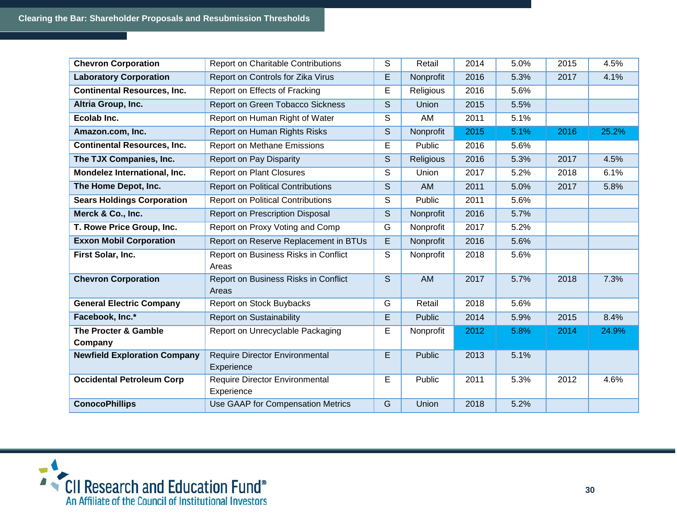| <b>Chevron Corporation</b>          | <b>Report on Charitable Contributions</b>           | S | Retail        | 2014 | 5.0% | 2015 | 4.5%  |
|-------------------------------------|-----------------------------------------------------|---|---------------|------|------|------|-------|
| <b>Laboratory Corporation</b>       | Report on Controls for Zika Virus                   | E | Nonprofit     | 2016 | 5.3% | 2017 | 4.1%  |
| <b>Continental Resources, Inc.</b>  | Report on Effects of Fracking                       | E | Religious     | 2016 | 5.6% |      |       |
| Altria Group, Inc.                  | Report on Green Tobacco Sickness                    | S | Union         | 2015 | 5.5% |      |       |
| Ecolab Inc.                         | Report on Human Right of Water                      | S | AM            | 2011 | 5.1% |      |       |
| Amazon.com, Inc.                    | Report on Human Rights Risks                        | S | Nonprofit     | 2015 | 5.1% | 2016 | 25.2% |
| <b>Continental Resources, Inc.</b>  | <b>Report on Methane Emissions</b>                  | E | Public        | 2016 | 5.6% |      |       |
| The TJX Companies, Inc.             | Report on Pay Disparity                             | S | Religious     | 2016 | 5.3% | 2017 | 4.5%  |
| Mondelez International, Inc.        | <b>Report on Plant Closures</b>                     | S | Union         | 2017 | 5.2% | 2018 | 6.1%  |
| The Home Depot, Inc.                | <b>Report on Political Contributions</b>            | S | AM            | 2011 | 5.0% | 2017 | 5.8%  |
| <b>Sears Holdings Corporation</b>   | <b>Report on Political Contributions</b>            | S | Public        | 2011 | 5.6% |      |       |
| Merck & Co., Inc.                   | Report on Prescription Disposal                     | S | Nonprofit     | 2016 | 5.7% |      |       |
| T. Rowe Price Group, Inc.           | Report on Proxy Voting and Comp                     | G | Nonprofit     | 2017 | 5.2% |      |       |
| <b>Exxon Mobil Corporation</b>      | Report on Reserve Replacement in BTUs               | E | Nonprofit     | 2016 | 5.6% |      |       |
| First Solar, Inc.                   | Report on Business Risks in Conflict<br>Areas       | S | Nonprofit     | 2018 | 5.6% |      |       |
| <b>Chevron Corporation</b>          | Report on Business Risks in Conflict<br>Areas       | S | <b>AM</b>     | 2017 | 5.7% | 2018 | 7.3%  |
| <b>General Electric Company</b>     | Report on Stock Buybacks                            | G | Retail        | 2018 | 5.6% |      |       |
| Facebook, Inc.*                     | <b>Report on Sustainability</b>                     | E | <b>Public</b> | 2014 | 5.9% | 2015 | 8.4%  |
| The Procter & Gamble<br>Company     | Report on Unrecyclable Packaging                    | E | Nonprofit     | 2012 | 5.8% | 2014 | 24.9% |
| <b>Newfield Exploration Company</b> | <b>Require Director Environmental</b><br>Experience | E | Public        | 2013 | 5.1% |      |       |
| <b>Occidental Petroleum Corp</b>    | <b>Require Director Environmental</b><br>Experience | E | Public        | 2011 | 5.3% | 2012 | 4.6%  |
| <b>ConocoPhillips</b>               | Use GAAP for Compensation Metrics                   | G | Union         | 2018 | 5.2% |      |       |

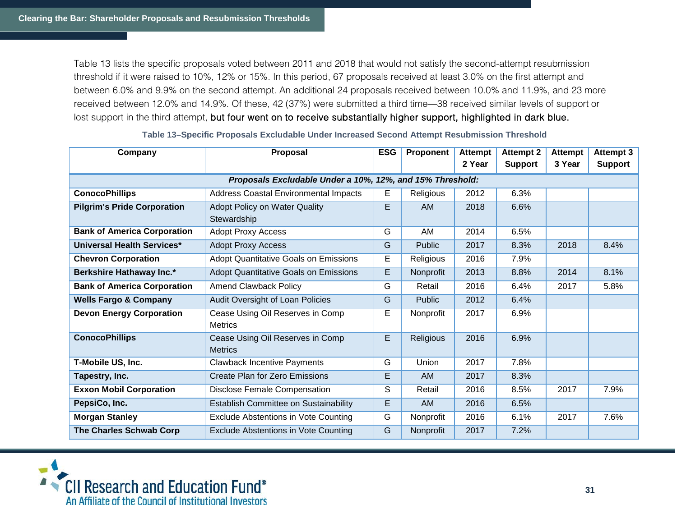Table 13 lists the specific proposals voted between 2011 and 2018 that would not satisfy the second-attempt resubmission threshold if it were raised to 10%, 12% or 15%. In this period, 67 proposals received at least 3.0% on the first attempt and between 6.0% and 9.9% on the second attempt. An additional 24 proposals received between 10.0% and 11.9%, and 23 more received between 12.0% and 14.9%. Of these, 42 (37%) were submitted a third time—38 received similar levels of support or lost support in the third attempt, but four went on to receive substantially higher support, highlighted in dark blue.

| Company                            | <b>Proposal</b>                                           | <b>ESG</b> | Proponent     | <b>Attempt</b> | <b>Attempt 2</b> | <b>Attempt</b> | <b>Attempt 3</b> |
|------------------------------------|-----------------------------------------------------------|------------|---------------|----------------|------------------|----------------|------------------|
|                                    |                                                           |            |               | 2 Year         | <b>Support</b>   | 3 Year         | <b>Support</b>   |
|                                    | Proposals Excludable Under a 10%, 12%, and 15% Threshold: |            |               |                |                  |                |                  |
| <b>ConocoPhillips</b>              | Address Coastal Environmental Impacts                     | E          | Religious     | 2012           | 6.3%             |                |                  |
| <b>Pilgrim's Pride Corporation</b> | <b>Adopt Policy on Water Quality</b>                      | E.         | <b>AM</b>     | 2018           | 6.6%             |                |                  |
|                                    | Stewardship                                               |            |               |                |                  |                |                  |
| <b>Bank of America Corporation</b> | <b>Adopt Proxy Access</b>                                 | G          | AM            | 2014           | 6.5%             |                |                  |
| <b>Universal Health Services*</b>  | <b>Adopt Proxy Access</b>                                 | G          | <b>Public</b> | 2017           | 8.3%             | 2018           | 8.4%             |
| <b>Chevron Corporation</b>         | <b>Adopt Quantitative Goals on Emissions</b>              | E          | Religious     | 2016           | 7.9%             |                |                  |
| Berkshire Hathaway Inc.*           | <b>Adopt Quantitative Goals on Emissions</b>              | E          | Nonprofit     | 2013           | 8.8%             | 2014           | 8.1%             |
| <b>Bank of America Corporation</b> | <b>Amend Clawback Policy</b>                              | G          | Retail        | 2016           | 6.4%             | 2017           | 5.8%             |
| <b>Wells Fargo &amp; Company</b>   | Audit Oversight of Loan Policies                          | G          | <b>Public</b> | 2012           | 6.4%             |                |                  |
| <b>Devon Energy Corporation</b>    | Cease Using Oil Reserves in Comp                          | Е          | Nonprofit     | 2017           | 6.9%             |                |                  |
|                                    | <b>Metrics</b>                                            |            |               |                |                  |                |                  |
| <b>ConocoPhillips</b>              | Cease Using Oil Reserves in Comp                          | E          | Religious     | 2016           | 6.9%             |                |                  |
|                                    | <b>Metrics</b>                                            |            |               |                |                  |                |                  |
| T-Mobile US, Inc.                  | <b>Clawback Incentive Payments</b>                        | G          | Union         | 2017           | 7.8%             |                |                  |
| Tapestry, Inc.                     | <b>Create Plan for Zero Emissions</b>                     | Е          | <b>AM</b>     | 2017           | 8.3%             |                |                  |
| <b>Exxon Mobil Corporation</b>     | <b>Disclose Female Compensation</b>                       | S          | Retail        | 2016           | 8.5%             | 2017           | 7.9%             |
| PepsiCo, Inc.                      | Establish Committee on Sustainability                     | E          | <b>AM</b>     | 2016           | 6.5%             |                |                  |
| <b>Morgan Stanley</b>              | Exclude Abstentions in Vote Counting                      | G          | Nonprofit     | 2016           | 6.1%             | 2017           | 7.6%             |
| The Charles Schwab Corp            | <b>Exclude Abstentions in Vote Counting</b>               | G          | Nonprofit     | 2017           | 7.2%             |                |                  |

#### **Table 13–Specific Proposals Excludable Under Increased Second Attempt Resubmission Threshold**

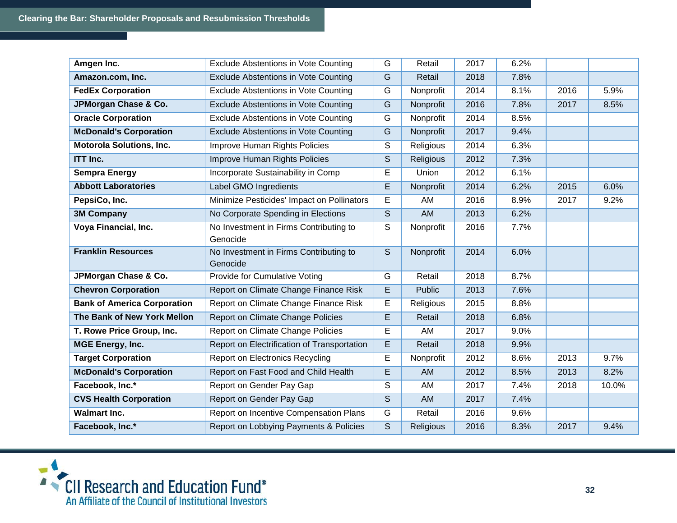| Amgen Inc.                         | Exclude Abstentions in Vote Counting               | G              | Retail        | 2017 | 6.2% |      |       |
|------------------------------------|----------------------------------------------------|----------------|---------------|------|------|------|-------|
| Amazon.com, Inc.                   | <b>Exclude Abstentions in Vote Counting</b>        | G              | Retail        | 2018 | 7.8% |      |       |
| <b>FedEx Corporation</b>           | Exclude Abstentions in Vote Counting               | G              | Nonprofit     | 2014 | 8.1% | 2016 | 5.9%  |
| JPMorgan Chase & Co.               | <b>Exclude Abstentions in Vote Counting</b>        | $\overline{G}$ | Nonprofit     | 2016 | 7.8% | 2017 | 8.5%  |
| <b>Oracle Corporation</b>          | Exclude Abstentions in Vote Counting               | G              | Nonprofit     | 2014 | 8.5% |      |       |
| <b>McDonald's Corporation</b>      | <b>Exclude Abstentions in Vote Counting</b>        | G              | Nonprofit     | 2017 | 9.4% |      |       |
| <b>Motorola Solutions, Inc.</b>    | Improve Human Rights Policies                      | S              | Religious     | 2014 | 6.3% |      |       |
| <b>ITT Inc.</b>                    | <b>Improve Human Rights Policies</b>               | S              | Religious     | 2012 | 7.3% |      |       |
| <b>Sempra Energy</b>               | Incorporate Sustainability in Comp                 | E              | Union         | 2012 | 6.1% |      |       |
| <b>Abbott Laboratories</b>         | <b>Label GMO Ingredients</b>                       | $\overline{E}$ | Nonprofit     | 2014 | 6.2% | 2015 | 6.0%  |
| PepsiCo, Inc.                      | Minimize Pesticides' Impact on Pollinators         | E              | AM            | 2016 | 8.9% | 2017 | 9.2%  |
| <b>3M Company</b>                  | No Corporate Spending in Elections                 | S              | <b>AM</b>     | 2013 | 6.2% |      |       |
| Voya Financial, Inc.               | No Investment in Firms Contributing to             | S              | Nonprofit     | 2016 | 7.7% |      |       |
| <b>Franklin Resources</b>          | Genocide                                           | S              |               | 2014 | 6.0% |      |       |
|                                    | No Investment in Firms Contributing to<br>Genocide |                | Nonprofit     |      |      |      |       |
| JPMorgan Chase & Co.               | Provide for Cumulative Voting                      | G              | Retail        | 2018 | 8.7% |      |       |
| <b>Chevron Corporation</b>         | Report on Climate Change Finance Risk              | E              | <b>Public</b> | 2013 | 7.6% |      |       |
| <b>Bank of America Corporation</b> | Report on Climate Change Finance Risk              | E              | Religious     | 2015 | 8.8% |      |       |
| The Bank of New York Mellon        | <b>Report on Climate Change Policies</b>           | E              | Retail        | 2018 | 6.8% |      |       |
| T. Rowe Price Group, Inc.          | Report on Climate Change Policies                  | E              | AM            | 2017 | 9.0% |      |       |
| <b>MGE Energy, Inc.</b>            | Report on Electrification of Transportation        | E              | Retail        | 2018 | 9.9% |      |       |
| <b>Target Corporation</b>          | <b>Report on Electronics Recycling</b>             | E              | Nonprofit     | 2012 | 8.6% | 2013 | 9.7%  |
| <b>McDonald's Corporation</b>      | Report on Fast Food and Child Health               | E              | AM            | 2012 | 8.5% | 2013 | 8.2%  |
| Facebook, Inc.*                    | Report on Gender Pay Gap                           | S              | AM            | 2017 | 7.4% | 2018 | 10.0% |
| <b>CVS Health Corporation</b>      | Report on Gender Pay Gap                           | S              | <b>AM</b>     | 2017 | 7.4% |      |       |
| <b>Walmart Inc.</b>                | Report on Incentive Compensation Plans             | G              | Retail        | 2016 | 9.6% |      |       |
| Facebook, Inc.*                    | Report on Lobbying Payments & Policies             | S              | Religious     | 2016 | 8.3% | 2017 | 9.4%  |

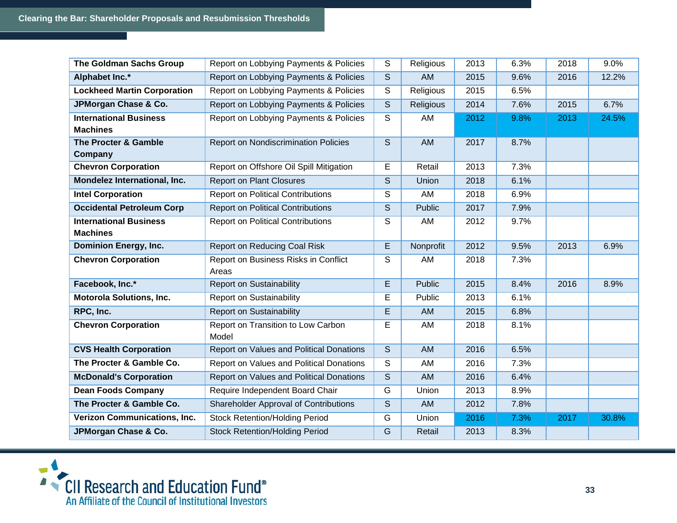| <b>The Goldman Sachs Group</b>      | Report on Lobbying Payments & Policies       | S                       | Religious        | 2013 | 6.3% | 2018 | 9.0%  |
|-------------------------------------|----------------------------------------------|-------------------------|------------------|------|------|------|-------|
| Alphabet Inc.*                      | Report on Lobbying Payments & Policies       | S                       | AM               | 2015 | 9.6% | 2016 | 12.2% |
| <b>Lockheed Martin Corporation</b>  | Report on Lobbying Payments & Policies       | S                       | Religious        | 2015 | 6.5% |      |       |
| JPMorgan Chase & Co.                | Report on Lobbying Payments & Policies       | S                       | <b>Religious</b> | 2014 | 7.6% | 2015 | 6.7%  |
| <b>International Business</b>       | Report on Lobbying Payments & Policies       | S                       | AM               | 2012 | 9.8% | 2013 | 24.5% |
| <b>Machines</b>                     |                                              |                         |                  |      |      |      |       |
| The Procter & Gamble                | Report on Nondiscrimination Policies         | S                       | AM               | 2017 | 8.7% |      |       |
| Company                             |                                              |                         |                  |      |      |      |       |
| <b>Chevron Corporation</b>          | Report on Offshore Oil Spill Mitigation      | E                       | Retail           | 2013 | 7.3% |      |       |
| Mondelez International, Inc.        | <b>Report on Plant Closures</b>              | $\mathsf S$             | <b>Union</b>     | 2018 | 6.1% |      |       |
| <b>Intel Corporation</b>            | <b>Report on Political Contributions</b>     | S                       | AM               | 2018 | 6.9% |      |       |
| <b>Occidental Petroleum Corp</b>    | <b>Report on Political Contributions</b>     | S                       | Public           | 2017 | 7.9% |      |       |
| <b>International Business</b>       | <b>Report on Political Contributions</b>     | S                       | AM               | 2012 | 9.7% |      |       |
| <b>Machines</b>                     |                                              |                         |                  |      |      |      |       |
| <b>Dominion Energy, Inc.</b>        | <b>Report on Reducing Coal Risk</b>          | E                       | Nonprofit        | 2012 | 9.5% | 2013 | 6.9%  |
| <b>Chevron Corporation</b>          | Report on Business Risks in Conflict         | S                       | AM               | 2018 | 7.3% |      |       |
|                                     | Areas                                        |                         |                  |      |      |      |       |
| Facebook, Inc.*                     | <b>Report on Sustainability</b>              | E                       | <b>Public</b>    | 2015 | 8.4% | 2016 | 8.9%  |
| <b>Motorola Solutions, Inc.</b>     | <b>Report on Sustainability</b>              | E                       | Public           | 2013 | 6.1% |      |       |
| RPC, Inc.                           | <b>Report on Sustainability</b>              | E                       | AM               | 2015 | 6.8% |      |       |
| <b>Chevron Corporation</b>          | Report on Transition to Low Carbon           | E                       | AM               | 2018 | 8.1% |      |       |
|                                     | Model                                        |                         |                  |      |      |      |       |
| <b>CVS Health Corporation</b>       | Report on Values and Political Donations     | S                       | <b>AM</b>        | 2016 | 6.5% |      |       |
| The Procter & Gamble Co.            | Report on Values and Political Donations     | $\overline{s}$          | AM               | 2016 | 7.3% |      |       |
| <b>McDonald's Corporation</b>       | Report on Values and Political Donations     | S                       | AM               | 2016 | 6.4% |      |       |
| <b>Dean Foods Company</b>           | Require Independent Board Chair              | G                       | Union            | 2013 | 8.9% |      |       |
| The Procter & Gamble Co.            | <b>Shareholder Approval of Contributions</b> | $\overline{\mathsf{s}}$ | AM               | 2012 | 7.8% |      |       |
| <b>Verizon Communications, Inc.</b> | <b>Stock Retention/Holding Period</b>        | G                       | Union            | 2016 | 7.3% | 2017 | 30.8% |
| JPMorgan Chase & Co.                | <b>Stock Retention/Holding Period</b>        | $\overline{G}$          | Retail           | 2013 | 8.3% |      |       |

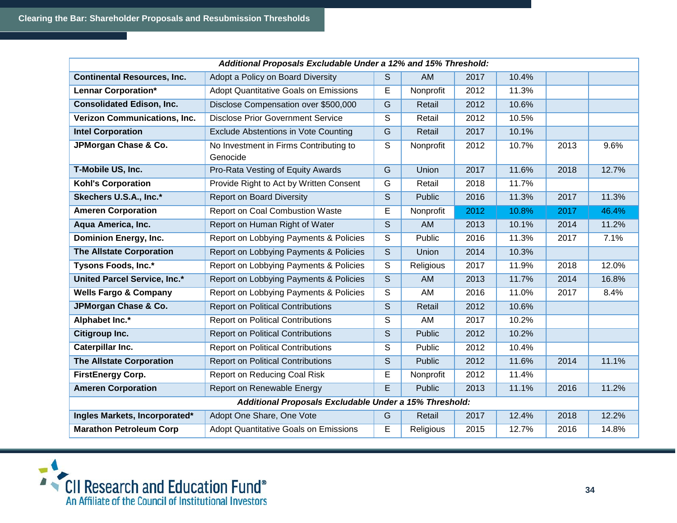|                                     | Additional Proposals Excludable Under a 12% and 15% Threshold: |                         |               |      |       |      |       |
|-------------------------------------|----------------------------------------------------------------|-------------------------|---------------|------|-------|------|-------|
| <b>Continental Resources, Inc.</b>  | Adopt a Policy on Board Diversity                              | <sub>S</sub>            | <b>AM</b>     | 2017 | 10.4% |      |       |
| <b>Lennar Corporation*</b>          | <b>Adopt Quantitative Goals on Emissions</b>                   | E                       | Nonprofit     | 2012 | 11.3% |      |       |
| <b>Consolidated Edison, Inc.</b>    | Disclose Compensation over \$500,000                           | $\overline{G}$          | Retail        | 2012 | 10.6% |      |       |
| <b>Verizon Communications, Inc.</b> | <b>Disclose Prior Government Service</b>                       | $\mathsf S$             | Retail        | 2012 | 10.5% |      |       |
| <b>Intel Corporation</b>            | <b>Exclude Abstentions in Vote Counting</b>                    | G                       | Retail        | 2017 | 10.1% |      |       |
| JPMorgan Chase & Co.                | No Investment in Firms Contributing to<br>Genocide             | $\overline{\mathsf{s}}$ | Nonprofit     | 2012 | 10.7% | 2013 | 9.6%  |
| T-Mobile US, Inc.                   | Pro-Rata Vesting of Equity Awards                              | G                       | Union         | 2017 | 11.6% | 2018 | 12.7% |
| <b>Kohl's Corporation</b>           | Provide Right to Act by Written Consent                        | G                       | Retail        | 2018 | 11.7% |      |       |
| Skechers U.S.A., Inc.*              | <b>Report on Board Diversity</b>                               | S                       | <b>Public</b> | 2016 | 11.3% | 2017 | 11.3% |
| <b>Ameren Corporation</b>           | Report on Coal Combustion Waste                                | E                       | Nonprofit     | 2012 | 10.8% | 2017 | 46.4% |
| Aqua America, Inc.                  | Report on Human Right of Water                                 | S                       | <b>AM</b>     | 2013 | 10.1% | 2014 | 11.2% |
| <b>Dominion Energy, Inc.</b>        | Report on Lobbying Payments & Policies                         | S                       | Public        | 2016 | 11.3% | 2017 | 7.1%  |
| <b>The Allstate Corporation</b>     | Report on Lobbying Payments & Policies                         | S                       | Union         | 2014 | 10.3% |      |       |
| <b>Tysons Foods, Inc.*</b>          | Report on Lobbying Payments & Policies                         | $\overline{\mathsf{s}}$ | Religious     | 2017 | 11.9% | 2018 | 12.0% |
| <b>United Parcel Service, Inc.*</b> | Report on Lobbying Payments & Policies                         | S                       | AM            | 2013 | 11.7% | 2014 | 16.8% |
| <b>Wells Fargo &amp; Company</b>    | Report on Lobbying Payments & Policies                         | S                       | AM            | 2016 | 11.0% | 2017 | 8.4%  |
| JPMorgan Chase & Co.                | <b>Report on Political Contributions</b>                       | $\overline{S}$          | Retail        | 2012 | 10.6% |      |       |
| Alphabet Inc.*                      | <b>Report on Political Contributions</b>                       | S                       | AM            | 2017 | 10.2% |      |       |
| Citigroup Inc.                      | <b>Report on Political Contributions</b>                       | S                       | <b>Public</b> | 2012 | 10.2% |      |       |
| <b>Caterpillar Inc.</b>             | <b>Report on Political Contributions</b>                       | S                       | Public        | 2012 | 10.4% |      |       |
| <b>The Allstate Corporation</b>     | <b>Report on Political Contributions</b>                       | S                       | Public        | 2012 | 11.6% | 2014 | 11.1% |
| <b>FirstEnergy Corp.</b>            | Report on Reducing Coal Risk                                   | E                       | Nonprofit     | 2012 | 11.4% |      |       |
| <b>Ameren Corporation</b>           | Report on Renewable Energy                                     | E                       | Public        | 2013 | 11.1% | 2016 | 11.2% |
|                                     | Additional Proposals Excludable Under a 15% Threshold:         |                         |               |      |       |      |       |
| Ingles Markets, Incorporated*       | Adopt One Share, One Vote                                      | G                       | Retail        | 2017 | 12.4% | 2018 | 12.2% |
| <b>Marathon Petroleum Corp</b>      | Adopt Quantitative Goals on Emissions                          | E                       | Religious     | 2015 | 12.7% | 2016 | 14.8% |

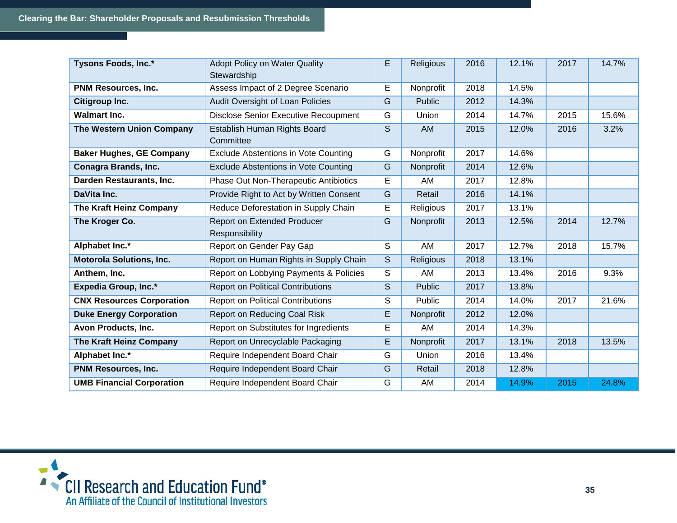| Tysons Foods, Inc.*              | <b>Adopt Policy on Water Quality</b>                 | E | Religious     | 2016 | 12.1% | 2017 | 14.7% |
|----------------------------------|------------------------------------------------------|---|---------------|------|-------|------|-------|
|                                  | Stewardship                                          |   |               |      |       |      |       |
| <b>PNM Resources, Inc.</b>       | Assess Impact of 2 Degree Scenario                   | Е | Nonprofit     | 2018 | 14.5% |      |       |
| Citigroup Inc.                   | Audit Oversight of Loan Policies                     | G | <b>Public</b> | 2012 | 14.3% |      |       |
| <b>Walmart Inc.</b>              | <b>Disclose Senior Executive Recoupment</b>          | G | Union         | 2014 | 14.7% | 2015 | 15.6% |
| The Western Union Company        | Establish Human Rights Board<br>Committee            | S | AM            | 2015 | 12.0% | 2016 | 3.2%  |
| <b>Baker Hughes, GE Company</b>  | <b>Exclude Abstentions in Vote Counting</b>          | G | Nonprofit     | 2017 | 14.6% |      |       |
| <b>Conagra Brands, Inc.</b>      | Exclude Abstentions in Vote Counting                 | G | Nonprofit     | 2014 | 12.6% |      |       |
| Darden Restaurants, Inc.         | Phase Out Non-Therapeutic Antibiotics                | E | AM            | 2017 | 12.8% |      |       |
| DaVita Inc.                      | Provide Right to Act by Written Consent              | G | Retail        | 2016 | 14.1% |      |       |
| The Kraft Heinz Company          | Reduce Deforestation in Supply Chain                 | E | Religious     | 2017 | 13.1% |      |       |
| The Kroger Co.                   | <b>Report on Extended Producer</b><br>Responsibility | G | Nonprofit     | 2013 | 12.5% | 2014 | 12.7% |
| Alphabet Inc.*                   | Report on Gender Pay Gap                             | S | AM            | 2017 | 12.7% | 2018 | 15.7% |
| <b>Motorola Solutions, Inc.</b>  | Report on Human Rights in Supply Chain               | S | Religious     | 2018 | 13.1% |      |       |
| Anthem, Inc.                     | Report on Lobbying Payments & Policies               | S | AM            | 2013 | 13.4% | 2016 | 9.3%  |
| Expedia Group, Inc.*             | <b>Report on Political Contributions</b>             | S | Public        | 2017 | 13.8% |      |       |
| <b>CNX Resources Corporation</b> | <b>Report on Political Contributions</b>             | S | Public        | 2014 | 14.0% | 2017 | 21.6% |
| <b>Duke Energy Corporation</b>   | <b>Report on Reducing Coal Risk</b>                  | E | Nonprofit     | 2012 | 12.0% |      |       |
| Avon Products, Inc.              | Report on Substitutes for Ingredients                | E | AM            | 2014 | 14.3% |      |       |
| The Kraft Heinz Company          | Report on Unrecyclable Packaging                     | E | Nonprofit     | 2017 | 13.1% | 2018 | 13.5% |
| Alphabet Inc.*                   | Require Independent Board Chair                      | G | Union         | 2016 | 13.4% |      |       |
| <b>PNM Resources, Inc.</b>       | Require Independent Board Chair                      | G | Retail        | 2018 | 12.8% |      |       |
| <b>UMB Financial Corporation</b> | Require Independent Board Chair                      | G | AM            | 2014 | 14.9% | 2015 | 24.8% |

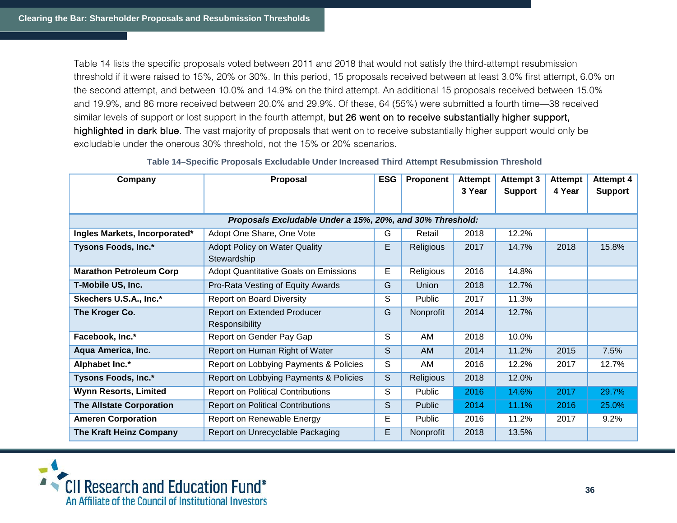Table 14 lists the specific proposals voted between 2011 and 2018 that would not satisfy the third-attempt resubmission threshold if it were raised to 15%, 20% or 30%. In this period, 15 proposals received between at least 3.0% first attempt, 6.0% on the second attempt, and between 10.0% and 14.9% on the third attempt. An additional 15 proposals received between 15.0% and 19.9%, and 86 more received between 20.0% and 29.9%. Of these, 64 (55%) were submitted a fourth time—38 received similar levels of support or lost support in the fourth attempt, but 26 went on to receive substantially higher support, highlighted in dark blue. The vast majority of proposals that went on to receive substantially higher support would only be excludable under the onerous 30% threshold, not the 15% or 20% scenarios.

| Company                                                   | Proposal                                     | <b>ESG</b> | Proponent        | <b>Attempt</b> | Attempt 3      | Attempt | Attempt 4      |  |  |
|-----------------------------------------------------------|----------------------------------------------|------------|------------------|----------------|----------------|---------|----------------|--|--|
|                                                           |                                              |            |                  | 3 Year         | <b>Support</b> | 4 Year  | <b>Support</b> |  |  |
|                                                           |                                              |            |                  |                |                |         |                |  |  |
| Proposals Excludable Under a 15%, 20%, and 30% Threshold: |                                              |            |                  |                |                |         |                |  |  |
| Ingles Markets, Incorporated*                             | Adopt One Share, One Vote                    | G          | Retail           | 2018           | 12.2%          |         |                |  |  |
| Tysons Foods, Inc.*                                       | <b>Adopt Policy on Water Quality</b>         | E          | Religious        | 2017           | 14.7%          | 2018    | 15.8%          |  |  |
|                                                           | Stewardship                                  |            |                  |                |                |         |                |  |  |
| <b>Marathon Petroleum Corp</b>                            | <b>Adopt Quantitative Goals on Emissions</b> | E          | Religious        | 2016           | 14.8%          |         |                |  |  |
| T-Mobile US, Inc.                                         | Pro-Rata Vesting of Equity Awards            | G          | <b>Union</b>     | 2018           | 12.7%          |         |                |  |  |
| Skechers U.S.A., Inc.*                                    | <b>Report on Board Diversity</b>             | S          | Public           | 2017           | 11.3%          |         |                |  |  |
| The Kroger Co.                                            | <b>Report on Extended Producer</b>           | G          | Nonprofit        | 2014           | 12.7%          |         |                |  |  |
|                                                           | Responsibility                               |            |                  |                |                |         |                |  |  |
| Facebook, Inc.*                                           | Report on Gender Pay Gap                     | S          | AM               | 2018           | 10.0%          |         |                |  |  |
| Aqua America, Inc.                                        | Report on Human Right of Water               | S          | AM               | 2014           | 11.2%          | 2015    | 7.5%           |  |  |
| Alphabet Inc.*                                            | Report on Lobbying Payments & Policies       | S          | AM               | 2016           | 12.2%          | 2017    | 12.7%          |  |  |
| Tysons Foods, Inc.*                                       | Report on Lobbying Payments & Policies       | S          | <b>Religious</b> | 2018           | 12.0%          |         |                |  |  |
| <b>Wynn Resorts, Limited</b>                              | <b>Report on Political Contributions</b>     | S          | Public           | 2016           | 14.6%          | 2017    | 29.7%          |  |  |
| <b>The Allstate Corporation</b>                           | <b>Report on Political Contributions</b>     | S          | <b>Public</b>    | 2014           | 11.1%          | 2016    | 25.0%          |  |  |
| <b>Ameren Corporation</b>                                 | Report on Renewable Energy                   | Е          | Public           | 2016           | 11.2%          | 2017    | 9.2%           |  |  |
| The Kraft Heinz Company                                   | Report on Unrecyclable Packaging             | Е          | Nonprofit        | 2018           | 13.5%          |         |                |  |  |

#### **Table 14–Specific Proposals Excludable Under Increased Third Attempt Resubmission Threshold**

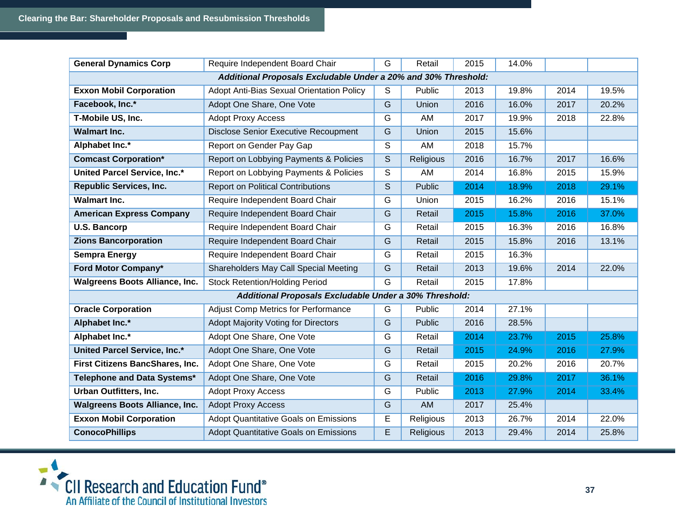| <b>General Dynamics Corp</b>          | Require Independent Board Chair                                | G              | Retail    | 2015 | 14.0% |      |       |
|---------------------------------------|----------------------------------------------------------------|----------------|-----------|------|-------|------|-------|
|                                       | Additional Proposals Excludable Under a 20% and 30% Threshold: |                |           |      |       |      |       |
| <b>Exxon Mobil Corporation</b>        | Adopt Anti-Bias Sexual Orientation Policy                      | S              | Public    | 2013 | 19.8% | 2014 | 19.5% |
| Facebook, Inc.*                       | Adopt One Share, One Vote                                      | G              | Union     | 2016 | 16.0% | 2017 | 20.2% |
| T-Mobile US, Inc.                     | <b>Adopt Proxy Access</b>                                      | G              | AM        | 2017 | 19.9% | 2018 | 22.8% |
| <b>Walmart Inc.</b>                   | <b>Disclose Senior Executive Recoupment</b>                    | G              | Union     | 2015 | 15.6% |      |       |
| Alphabet Inc.*                        | Report on Gender Pay Gap                                       | S              | AM        | 2018 | 15.7% |      |       |
| <b>Comcast Corporation*</b>           | Report on Lobbying Payments & Policies                         | S              | Religious | 2016 | 16.7% | 2017 | 16.6% |
| <b>United Parcel Service, Inc.*</b>   | Report on Lobbying Payments & Policies                         | S              | AM        | 2014 | 16.8% | 2015 | 15.9% |
| <b>Republic Services, Inc.</b>        | <b>Report on Political Contributions</b>                       | S              | Public    | 2014 | 18.9% | 2018 | 29.1% |
| <b>Walmart Inc.</b>                   | Require Independent Board Chair                                | G              | Union     | 2015 | 16.2% | 2016 | 15.1% |
| <b>American Express Company</b>       | Require Independent Board Chair                                | G              | Retail    | 2015 | 15.8% | 2016 | 37.0% |
| <b>U.S. Bancorp</b>                   | Require Independent Board Chair                                | G              | Retail    | 2015 | 16.3% | 2016 | 16.8% |
| <b>Zions Bancorporation</b>           | Require Independent Board Chair                                | G              | Retail    | 2015 | 15.8% | 2016 | 13.1% |
| <b>Sempra Energy</b>                  | Require Independent Board Chair                                | G              | Retail    | 2015 | 16.3% |      |       |
| Ford Motor Company*                   | Shareholders May Call Special Meeting                          | G              | Retail    | 2013 | 19.6% | 2014 | 22.0% |
| <b>Walgreens Boots Alliance, Inc.</b> | <b>Stock Retention/Holding Period</b>                          | $\overline{G}$ | Retail    | 2015 | 17.8% |      |       |
|                                       | Additional Proposals Excludable Under a 30% Threshold:         |                |           |      |       |      |       |
| <b>Oracle Corporation</b>             | <b>Adjust Comp Metrics for Performance</b>                     | G              | Public    | 2014 | 27.1% |      |       |
| Alphabet Inc.*                        | <b>Adopt Majority Voting for Directors</b>                     | G              | Public    | 2016 | 28.5% |      |       |
| Alphabet Inc.*                        | Adopt One Share, One Vote                                      | G              | Retail    | 2014 | 23.7% | 2015 | 25.8% |
| <b>United Parcel Service, Inc.*</b>   | Adopt One Share, One Vote                                      | G              | Retail    | 2015 | 24.9% | 2016 | 27.9% |
| First Citizens BancShares, Inc.       | Adopt One Share, One Vote                                      | G              | Retail    | 2015 | 20.2% | 2016 | 20.7% |
| Telephone and Data Systems*           | Adopt One Share, One Vote                                      | G              | Retail    | 2016 | 29.8% | 2017 | 36.1% |
| <b>Urban Outfitters, Inc.</b>         | <b>Adopt Proxy Access</b>                                      | G              | Public    | 2013 | 27.9% | 2014 | 33.4% |
| <b>Walgreens Boots Alliance, Inc.</b> | <b>Adopt Proxy Access</b>                                      | $\overline{G}$ | <b>AM</b> | 2017 | 25.4% |      |       |
| <b>Exxon Mobil Corporation</b>        | <b>Adopt Quantitative Goals on Emissions</b>                   | E              | Religious | 2013 | 26.7% | 2014 | 22.0% |
| <b>ConocoPhillips</b>                 | <b>Adopt Quantitative Goals on Emissions</b>                   | E              | Religious | 2013 | 29.4% | 2014 | 25.8% |

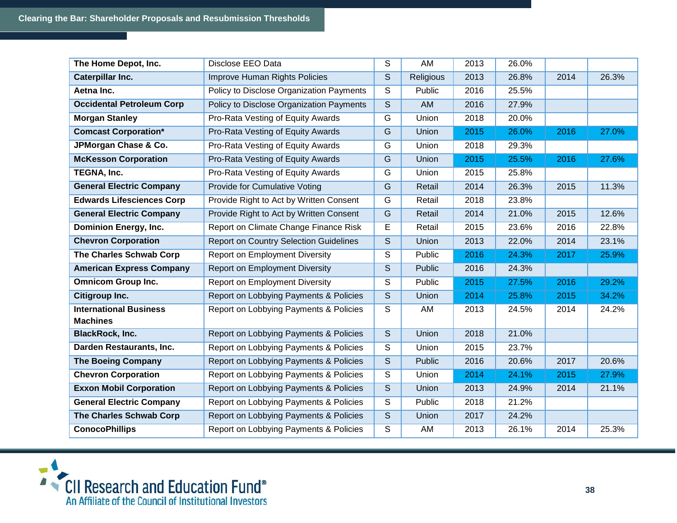| The Home Depot, Inc.             | Disclose EEO Data                             | S | AM        | 2013 | 26.0% |      |       |
|----------------------------------|-----------------------------------------------|---|-----------|------|-------|------|-------|
| Caterpillar Inc.                 | Improve Human Rights Policies                 | S | Religious | 2013 | 26.8% | 2014 | 26.3% |
| Aetna Inc.                       | Policy to Disclose Organization Payments      | S | Public    | 2016 | 25.5% |      |       |
| <b>Occidental Petroleum Corp</b> | Policy to Disclose Organization Payments      | S | AM        | 2016 | 27.9% |      |       |
| <b>Morgan Stanley</b>            | Pro-Rata Vesting of Equity Awards             | G | Union     | 2018 | 20.0% |      |       |
| <b>Comcast Corporation*</b>      | Pro-Rata Vesting of Equity Awards             | G | Union     | 2015 | 26.0% | 2016 | 27.0% |
| JPMorgan Chase & Co.             | Pro-Rata Vesting of Equity Awards             | G | Union     | 2018 | 29.3% |      |       |
| <b>McKesson Corporation</b>      | Pro-Rata Vesting of Equity Awards             | G | Union     | 2015 | 25.5% | 2016 | 27.6% |
| TEGNA, Inc.                      | Pro-Rata Vesting of Equity Awards             | G | Union     | 2015 | 25.8% |      |       |
| <b>General Electric Company</b>  | Provide for Cumulative Voting                 | G | Retail    | 2014 | 26.3% | 2015 | 11.3% |
| <b>Edwards Lifesciences Corp</b> | Provide Right to Act by Written Consent       | G | Retail    | 2018 | 23.8% |      |       |
| <b>General Electric Company</b>  | Provide Right to Act by Written Consent       | G | Retail    | 2014 | 21.0% | 2015 | 12.6% |
| <b>Dominion Energy, Inc.</b>     | Report on Climate Change Finance Risk         | E | Retail    | 2015 | 23.6% | 2016 | 22.8% |
| <b>Chevron Corporation</b>       | <b>Report on Country Selection Guidelines</b> | S | Union     | 2013 | 22.0% | 2014 | 23.1% |
| The Charles Schwab Corp          | <b>Report on Employment Diversity</b>         | S | Public    | 2016 | 24.3% | 2017 | 25.9% |
| <b>American Express Company</b>  | <b>Report on Employment Diversity</b>         | S | Public    | 2016 | 24.3% |      |       |
| <b>Omnicom Group Inc.</b>        | <b>Report on Employment Diversity</b>         | S | Public    | 2015 | 27.5% | 2016 | 29.2% |
| Citigroup Inc.                   | Report on Lobbying Payments & Policies        | S | Union     | 2014 | 25.8% | 2015 | 34.2% |
| <b>International Business</b>    | Report on Lobbying Payments & Policies        | S | AM        | 2013 | 24.5% | 2014 | 24.2% |
| <b>Machines</b>                  |                                               |   |           |      |       |      |       |
| <b>BlackRock, Inc.</b>           | Report on Lobbying Payments & Policies        | S | Union     | 2018 | 21.0% |      |       |
| Darden Restaurants, Inc.         | Report on Lobbying Payments & Policies        | S | Union     | 2015 | 23.7% |      |       |
| <b>The Boeing Company</b>        | Report on Lobbying Payments & Policies        | S | Public    | 2016 | 20.6% | 2017 | 20.6% |
| <b>Chevron Corporation</b>       | Report on Lobbying Payments & Policies        | S | Union     | 2014 | 24.1% | 2015 | 27.9% |
| <b>Exxon Mobil Corporation</b>   | Report on Lobbying Payments & Policies        | S | Union     | 2013 | 24.9% | 2014 | 21.1% |
| <b>General Electric Company</b>  | Report on Lobbying Payments & Policies        | S | Public    | 2018 | 21.2% |      |       |
| The Charles Schwab Corp          | Report on Lobbying Payments & Policies        | S | Union     | 2017 | 24.2% |      |       |
| <b>ConocoPhillips</b>            | Report on Lobbying Payments & Policies        | S | AM        | 2013 | 26.1% | 2014 | 25.3% |

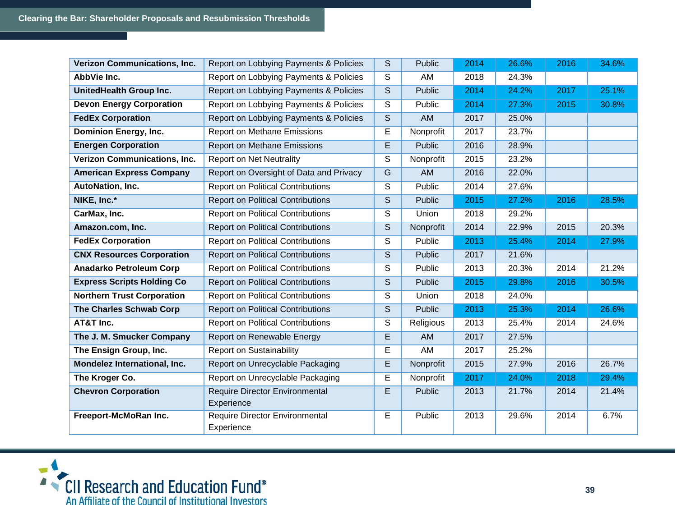| <b>Verizon Communications, Inc.</b> | Report on Lobbying Payments & Policies              | S | Public        | 2014 | 26.6% | 2016 | 34.6% |
|-------------------------------------|-----------------------------------------------------|---|---------------|------|-------|------|-------|
| AbbVie Inc.                         | Report on Lobbying Payments & Policies              | S | AM            | 2018 | 24.3% |      |       |
| UnitedHealth Group Inc.             | Report on Lobbying Payments & Policies              | S | Public        | 2014 | 24.2% | 2017 | 25.1% |
| <b>Devon Energy Corporation</b>     | Report on Lobbying Payments & Policies              | S | Public        | 2014 | 27.3% | 2015 | 30.8% |
| <b>FedEx Corporation</b>            | Report on Lobbying Payments & Policies              | S | <b>AM</b>     | 2017 | 25.0% |      |       |
| <b>Dominion Energy, Inc.</b>        | Report on Methane Emissions                         | E | Nonprofit     | 2017 | 23.7% |      |       |
| <b>Energen Corporation</b>          | Report on Methane Emissions                         | E | Public        | 2016 | 28.9% |      |       |
| <b>Verizon Communications, Inc.</b> | <b>Report on Net Neutrality</b>                     | S | Nonprofit     | 2015 | 23.2% |      |       |
| <b>American Express Company</b>     | Report on Oversight of Data and Privacy             | G | <b>AM</b>     | 2016 | 22.0% |      |       |
| <b>AutoNation, Inc.</b>             | <b>Report on Political Contributions</b>            | S | Public        | 2014 | 27.6% |      |       |
| NIKE, Inc.*                         | <b>Report on Political Contributions</b>            | S | Public        | 2015 | 27.2% | 2016 | 28.5% |
| CarMax, Inc.                        | <b>Report on Political Contributions</b>            | S | Union         | 2018 | 29.2% |      |       |
| Amazon.com, Inc.                    | <b>Report on Political Contributions</b>            | S | Nonprofit     | 2014 | 22.9% | 2015 | 20.3% |
| <b>FedEx Corporation</b>            | <b>Report on Political Contributions</b>            | S | Public        | 2013 | 25.4% | 2014 | 27.9% |
| <b>CNX Resources Corporation</b>    | <b>Report on Political Contributions</b>            | S | Public        | 2017 | 21.6% |      |       |
| <b>Anadarko Petroleum Corp</b>      | <b>Report on Political Contributions</b>            | S | Public        | 2013 | 20.3% | 2014 | 21.2% |
| <b>Express Scripts Holding Co</b>   | <b>Report on Political Contributions</b>            | S | <b>Public</b> | 2015 | 29.8% | 2016 | 30.5% |
| <b>Northern Trust Corporation</b>   | <b>Report on Political Contributions</b>            | S | Union         | 2018 | 24.0% |      |       |
| <b>The Charles Schwab Corp</b>      | <b>Report on Political Contributions</b>            | S | Public        | 2013 | 25.3% | 2014 | 26.6% |
| AT&T Inc.                           | <b>Report on Political Contributions</b>            | S | Religious     | 2013 | 25.4% | 2014 | 24.6% |
| The J. M. Smucker Company           | Report on Renewable Energy                          | E | AM            | 2017 | 27.5% |      |       |
| The Ensign Group, Inc.              | <b>Report on Sustainability</b>                     | Е | AM            | 2017 | 25.2% |      |       |
| Mondelez International, Inc.        | Report on Unrecyclable Packaging                    | E | Nonprofit     | 2015 | 27.9% | 2016 | 26.7% |
| The Kroger Co.                      | Report on Unrecyclable Packaging                    | Е | Nonprofit     | 2017 | 24.0% | 2018 | 29.4% |
| <b>Chevron Corporation</b>          | <b>Require Director Environmental</b><br>Experience | E | Public        | 2013 | 21.7% | 2014 | 21.4% |
| Freeport-McMoRan Inc.               | Require Director Environmental<br>Experience        | E | Public        | 2013 | 29.6% | 2014 | 6.7%  |